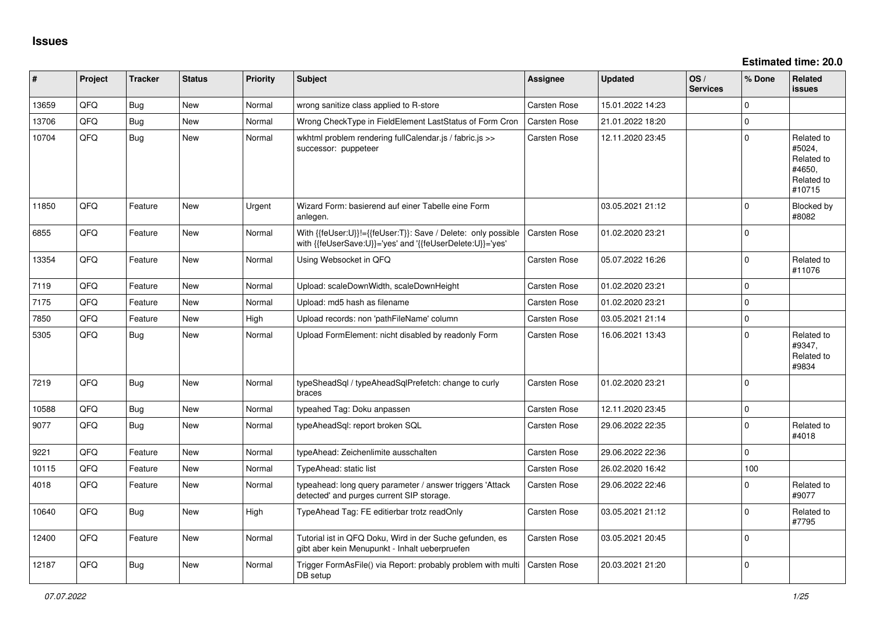**Estimated time: 20.0**

| ∦     | Project | <b>Tracker</b> | <b>Status</b> | <b>Priority</b> | <b>Subject</b>                                                                                                             | Assignee            | <b>Updated</b>   | OS/<br><b>Services</b> | % Done      | <b>Related</b><br><b>issues</b>                                      |
|-------|---------|----------------|---------------|-----------------|----------------------------------------------------------------------------------------------------------------------------|---------------------|------------------|------------------------|-------------|----------------------------------------------------------------------|
| 13659 | QFQ     | Bug            | <b>New</b>    | Normal          | wrong sanitize class applied to R-store                                                                                    | <b>Carsten Rose</b> | 15.01.2022 14:23 |                        | $\Omega$    |                                                                      |
| 13706 | QFQ     | Bug            | New           | Normal          | Wrong CheckType in FieldElement LastStatus of Form Cron                                                                    | Carsten Rose        | 21.01.2022 18:20 |                        | $\Omega$    |                                                                      |
| 10704 | QFQ     | Bug            | <b>New</b>    | Normal          | wkhtml problem rendering fullCalendar.js / fabric.js >><br>successor: puppeteer                                            | <b>Carsten Rose</b> | 12.11.2020 23:45 |                        | $\Omega$    | Related to<br>#5024,<br>Related to<br>#4650,<br>Related to<br>#10715 |
| 11850 | QFQ     | Feature        | <b>New</b>    | Urgent          | Wizard Form: basierend auf einer Tabelle eine Form<br>anlegen.                                                             |                     | 03.05.2021 21:12 |                        | $\mathbf 0$ | Blocked by<br>#8082                                                  |
| 6855  | QFQ     | Feature        | <b>New</b>    | Normal          | With {{feUser:U}}!={{feUser:T}}: Save / Delete: only possible<br>with {{feUserSave:U}}='yes' and '{{feUserDelete:U}}='yes' | <b>Carsten Rose</b> | 01.02.2020 23:21 |                        | $\mathbf 0$ |                                                                      |
| 13354 | QFQ     | Feature        | <b>New</b>    | Normal          | Using Websocket in QFQ                                                                                                     | Carsten Rose        | 05.07.2022 16:26 |                        | $\mathbf 0$ | Related to<br>#11076                                                 |
| 7119  | QFQ     | Feature        | New           | Normal          | Upload: scaleDownWidth, scaleDownHeight                                                                                    | <b>Carsten Rose</b> | 01.02.2020 23:21 |                        | $\mathbf 0$ |                                                                      |
| 7175  | QFQ     | Feature        | <b>New</b>    | Normal          | Upload: md5 hash as filename                                                                                               | <b>Carsten Rose</b> | 01.02.2020 23:21 |                        | $\Omega$    |                                                                      |
| 7850  | QFQ     | Feature        | New           | High            | Upload records: non 'pathFileName' column                                                                                  | <b>Carsten Rose</b> | 03.05.2021 21:14 |                        | $\mathbf 0$ |                                                                      |
| 5305  | QFQ     | <b>Bug</b>     | <b>New</b>    | Normal          | Upload FormElement: nicht disabled by readonly Form                                                                        | <b>Carsten Rose</b> | 16.06.2021 13:43 |                        | $\mathbf 0$ | Related to<br>#9347,<br>Related to<br>#9834                          |
| 7219  | QFQ     | <b>Bug</b>     | <b>New</b>    | Normal          | typeSheadSql / typeAheadSqlPrefetch: change to curly<br>braces                                                             | Carsten Rose        | 01.02.2020 23:21 |                        | $\mathbf 0$ |                                                                      |
| 10588 | QFQ     | Bug            | <b>New</b>    | Normal          | typeahed Tag: Doku anpassen                                                                                                | <b>Carsten Rose</b> | 12.11.2020 23:45 |                        | $\mathbf 0$ |                                                                      |
| 9077  | QFQ     | Bug            | New           | Normal          | typeAheadSql: report broken SQL                                                                                            | <b>Carsten Rose</b> | 29.06.2022 22:35 |                        | $\Omega$    | Related to<br>#4018                                                  |
| 9221  | QFQ     | Feature        | <b>New</b>    | Normal          | typeAhead: Zeichenlimite ausschalten                                                                                       | <b>Carsten Rose</b> | 29.06.2022 22:36 |                        | $\Omega$    |                                                                      |
| 10115 | QFQ     | Feature        | <b>New</b>    | Normal          | TypeAhead: static list                                                                                                     | Carsten Rose        | 26.02.2020 16:42 |                        | 100         |                                                                      |
| 4018  | QFQ     | Feature        | <b>New</b>    | Normal          | typeahead: long query parameter / answer triggers 'Attack<br>detected' and purges current SIP storage.                     | Carsten Rose        | 29.06.2022 22:46 |                        | $\mathbf 0$ | Related to<br>#9077                                                  |
| 10640 | QFQ     | Bug            | <b>New</b>    | High            | TypeAhead Tag: FE editierbar trotz readOnly                                                                                | <b>Carsten Rose</b> | 03.05.2021 21:12 |                        | $\mathbf 0$ | Related to<br>#7795                                                  |
| 12400 | QFQ     | Feature        | <b>New</b>    | Normal          | Tutorial ist in QFQ Doku, Wird in der Suche gefunden, es<br>gibt aber kein Menupunkt - Inhalt ueberpruefen                 | Carsten Rose        | 03.05.2021 20:45 |                        | $\Omega$    |                                                                      |
| 12187 | QFQ     | Bug            | <b>New</b>    | Normal          | Trigger FormAsFile() via Report: probably problem with multi<br>DB setup                                                   | Carsten Rose        | 20.03.2021 21:20 |                        | $\mathbf 0$ |                                                                      |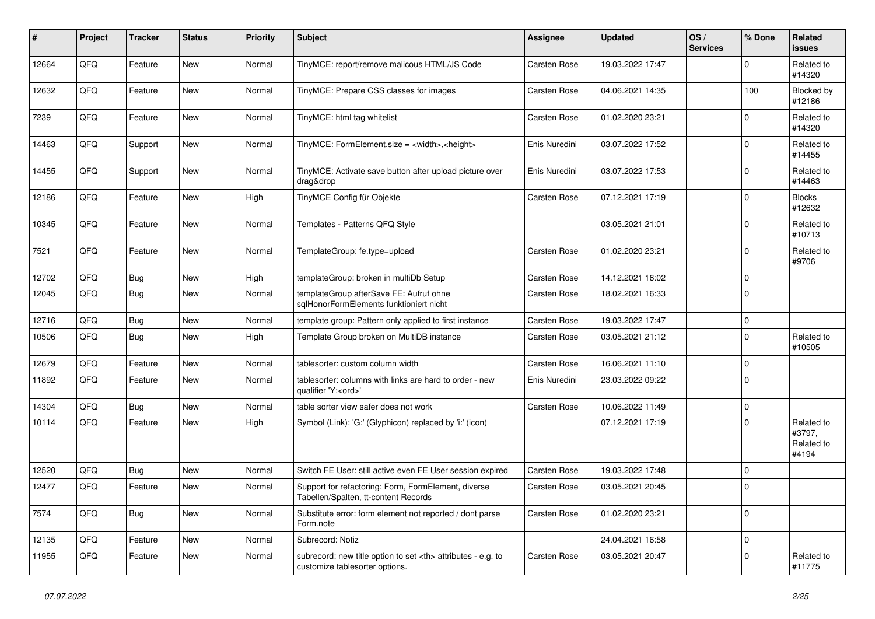| #     | Project | <b>Tracker</b> | <b>Status</b> | <b>Priority</b> | <b>Subject</b>                                                                                       | <b>Assignee</b>                                        | <b>Updated</b>   | OS/<br><b>Services</b> | % Done      | Related<br><b>issues</b>                    |                      |
|-------|---------|----------------|---------------|-----------------|------------------------------------------------------------------------------------------------------|--------------------------------------------------------|------------------|------------------------|-------------|---------------------------------------------|----------------------|
| 12664 | QFQ     | Feature        | New           | Normal          | TinyMCE: report/remove malicous HTML/JS Code                                                         | Carsten Rose                                           | 19.03.2022 17:47 |                        | $\mathbf 0$ | Related to<br>#14320                        |                      |
| 12632 | QFQ     | Feature        | <b>New</b>    | Normal          | TinyMCE: Prepare CSS classes for images                                                              | Carsten Rose                                           | 04.06.2021 14:35 |                        | 100         | Blocked by<br>#12186                        |                      |
| 7239  | QFQ     | Feature        | New           | Normal          | TinyMCE: html tag whitelist                                                                          | Carsten Rose                                           | 01.02.2020 23:21 |                        | 0           | Related to<br>#14320                        |                      |
| 14463 | QFQ     | Support        | New           | Normal          | TinyMCE: FormElement.size = <width>,<height></height></width>                                        | Enis Nuredini                                          | 03.07.2022 17:52 |                        | 0           | Related to<br>#14455                        |                      |
| 14455 | QFQ     | Support        | New           | Normal          | TinyMCE: Activate save button after upload picture over<br>drag&drop                                 | Enis Nuredini                                          | 03.07.2022 17:53 |                        | $\mathbf 0$ | Related to<br>#14463                        |                      |
| 12186 | QFQ     | Feature        | New           | High            | TinyMCE Config für Objekte                                                                           | Carsten Rose                                           | 07.12.2021 17:19 |                        | 0           | <b>Blocks</b><br>#12632                     |                      |
| 10345 | QFQ     | Feature        | New           | Normal          | Templates - Patterns QFQ Style                                                                       |                                                        | 03.05.2021 21:01 |                        | $\mathbf 0$ | Related to<br>#10713                        |                      |
| 7521  | QFQ     | Feature        | <b>New</b>    | Normal          | TemplateGroup: fe.type=upload                                                                        | Carsten Rose                                           | 01.02.2020 23:21 |                        | 0           | Related to<br>#9706                         |                      |
| 12702 | QFQ     | Bug            | <b>New</b>    | High            | templateGroup: broken in multiDb Setup                                                               | Carsten Rose                                           | 14.12.2021 16:02 |                        | $\Omega$    |                                             |                      |
| 12045 | QFQ     | Bug            | New           | Normal          | templateGroup afterSave FE: Aufruf ohne<br>sqlHonorFormElements funktioniert nicht                   | Carsten Rose                                           | 18.02.2021 16:33 |                        | $\Omega$    |                                             |                      |
| 12716 | QFQ     | Bug            | New           | Normal          | template group: Pattern only applied to first instance                                               | Carsten Rose                                           | 19.03.2022 17:47 |                        | 0           |                                             |                      |
| 10506 | QFQ     | Bug            | New           | High            | Template Group broken on MultiDB instance                                                            | Carsten Rose                                           | 03.05.2021 21:12 |                        | 0           | Related to<br>#10505                        |                      |
| 12679 | QFQ     | Feature        | <b>New</b>    | Normal          | tablesorter: custom column width                                                                     | Carsten Rose                                           | 16.06.2021 11:10 |                        | 0           |                                             |                      |
| 11892 | QFQ     | Feature        | New           | Normal          | tablesorter: columns with links are hard to order - new<br>qualifier 'Y: <ord>'</ord>                | Enis Nuredini                                          | 23.03.2022 09:22 |                        | $\Omega$    |                                             |                      |
| 14304 | QFQ     | Bug            | New           | Normal          | table sorter view safer does not work                                                                | Carsten Rose                                           | 10.06.2022 11:49 |                        | 0           |                                             |                      |
| 10114 | QFQ     | Feature        | New           | High            | Symbol (Link): 'G:' (Glyphicon) replaced by 'i:' (icon)                                              |                                                        | 07.12.2021 17:19 |                        | $\mathbf 0$ | Related to<br>#3797,<br>Related to<br>#4194 |                      |
| 12520 | QFQ     | Bug            | <b>New</b>    | Normal          | Switch FE User: still active even FE User session expired                                            | Carsten Rose                                           | 19.03.2022 17:48 |                        | $\mathbf 0$ |                                             |                      |
| 12477 | QFQ     | Feature        | New           | Normal          | Support for refactoring: Form, FormElement, diverse<br>Tabellen/Spalten, tt-content Records          | Carsten Rose                                           | 03.05.2021 20:45 |                        | $\mathbf 0$ |                                             |                      |
| 7574  | QFQ     | Bug            | New           | Normal          | Substitute error: form element not reported / dont parse<br>Form.note                                | Carsten Rose                                           | 01.02.2020 23:21 |                        | 0           |                                             |                      |
| 12135 | QFQ     | Feature        | New           | Normal          | Subrecord: Notiz                                                                                     |                                                        | 24.04.2021 16:58 |                        | 0           |                                             |                      |
| 11955 | QFQ     | Feature        | New           | Normal          | subrecord: new title option to set <th> attributes - e.g. to<br/>customize tablesorter options.</th> | attributes - e.g. to<br>customize tablesorter options. | Carsten Rose     | 03.05.2021 20:47       |             | 0                                           | Related to<br>#11775 |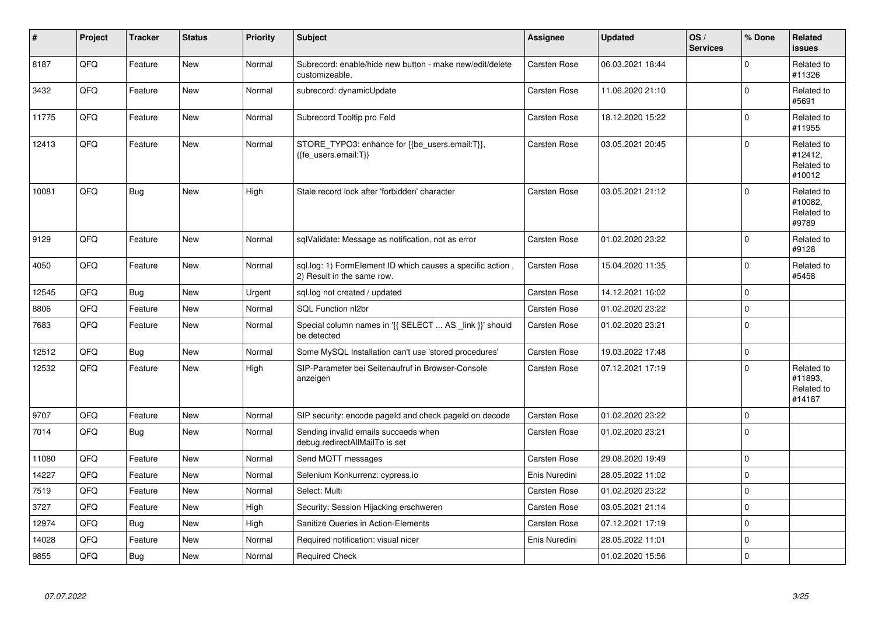| $\vert$ # | Project | <b>Tracker</b> | <b>Status</b> | <b>Priority</b> | <b>Subject</b>                                                                           | <b>Assignee</b>     | <b>Updated</b>   | OS/<br><b>Services</b> | % Done      | Related<br><b>issues</b>                      |
|-----------|---------|----------------|---------------|-----------------|------------------------------------------------------------------------------------------|---------------------|------------------|------------------------|-------------|-----------------------------------------------|
| 8187      | QFQ     | Feature        | <b>New</b>    | Normal          | Subrecord: enable/hide new button - make new/edit/delete<br>customizeable.               | <b>Carsten Rose</b> | 06.03.2021 18:44 |                        | $\Omega$    | Related to<br>#11326                          |
| 3432      | QFQ     | Feature        | <b>New</b>    | Normal          | subrecord: dynamicUpdate                                                                 | <b>Carsten Rose</b> | 11.06.2020 21:10 |                        | $\Omega$    | Related to<br>#5691                           |
| 11775     | QFQ     | Feature        | <b>New</b>    | Normal          | Subrecord Tooltip pro Feld                                                               | <b>Carsten Rose</b> | 18.12.2020 15:22 |                        | $\Omega$    | Related to<br>#11955                          |
| 12413     | QFQ     | Feature        | <b>New</b>    | Normal          | STORE_TYPO3: enhance for {{be_users.email:T}},<br>{{fe users.email:T}}                   | <b>Carsten Rose</b> | 03.05.2021 20:45 |                        | $\Omega$    | Related to<br>#12412,<br>Related to<br>#10012 |
| 10081     | QFQ     | Bug            | <b>New</b>    | High            | Stale record lock after 'forbidden' character                                            | <b>Carsten Rose</b> | 03.05.2021 21:12 |                        | $\Omega$    | Related to<br>#10082,<br>Related to<br>#9789  |
| 9129      | QFQ     | Feature        | New           | Normal          | sqlValidate: Message as notification, not as error                                       | Carsten Rose        | 01.02.2020 23:22 |                        | $\Omega$    | Related to<br>#9128                           |
| 4050      | QFQ     | Feature        | <b>New</b>    | Normal          | sql.log: 1) FormElement ID which causes a specific action,<br>2) Result in the same row. | Carsten Rose        | 15.04.2020 11:35 |                        | $\mathbf 0$ | Related to<br>#5458                           |
| 12545     | QFQ     | Bug            | <b>New</b>    | Urgent          | sql.log not created / updated                                                            | Carsten Rose        | 14.12.2021 16:02 |                        | $\mathbf 0$ |                                               |
| 8806      | QFQ     | Feature        | New           | Normal          | SQL Function nl2br                                                                       | <b>Carsten Rose</b> | 01.02.2020 23:22 |                        | $\mathbf 0$ |                                               |
| 7683      | QFQ     | Feature        | <b>New</b>    | Normal          | Special column names in '{{ SELECT  AS _link }}' should<br>be detected                   | Carsten Rose        | 01.02.2020 23:21 |                        | $\Omega$    |                                               |
| 12512     | QFQ     | Bug            | <b>New</b>    | Normal          | Some MySQL Installation can't use 'stored procedures'                                    | Carsten Rose        | 19.03.2022 17:48 |                        | $\Omega$    |                                               |
| 12532     | QFQ     | Feature        | New           | High            | SIP-Parameter bei Seitenaufruf in Browser-Console<br>anzeigen                            | Carsten Rose        | 07.12.2021 17:19 |                        | $\Omega$    | Related to<br>#11893.<br>Related to<br>#14187 |
| 9707      | QFQ     | Feature        | <b>New</b>    | Normal          | SIP security: encode pageld and check pageld on decode                                   | Carsten Rose        | 01.02.2020 23:22 |                        | $\Omega$    |                                               |
| 7014      | QFQ     | Bug            | New           | Normal          | Sending invalid emails succeeds when<br>debug.redirectAllMailTo is set                   | <b>Carsten Rose</b> | 01.02.2020 23:21 |                        | $\Omega$    |                                               |
| 11080     | QFQ     | Feature        | <b>New</b>    | Normal          | Send MQTT messages                                                                       | <b>Carsten Rose</b> | 29.08.2020 19:49 |                        | $\mathbf 0$ |                                               |
| 14227     | QFQ     | Feature        | New           | Normal          | Selenium Konkurrenz: cypress.io                                                          | Enis Nuredini       | 28.05.2022 11:02 |                        | $\Omega$    |                                               |
| 7519      | QFQ     | Feature        | <b>New</b>    | Normal          | Select: Multi                                                                            | Carsten Rose        | 01.02.2020 23:22 |                        | $\mathbf 0$ |                                               |
| 3727      | QFQ     | Feature        | <b>New</b>    | High            | Security: Session Hijacking erschweren                                                   | <b>Carsten Rose</b> | 03.05.2021 21:14 |                        | $\Omega$    |                                               |
| 12974     | QFQ     | <b>Bug</b>     | <b>New</b>    | High            | <b>Sanitize Queries in Action-Elements</b>                                               | Carsten Rose        | 07.12.2021 17:19 |                        | $\pmb{0}$   |                                               |
| 14028     | QFQ     | Feature        | <b>New</b>    | Normal          | Required notification: visual nicer                                                      | Enis Nuredini       | 28.05.2022 11:01 |                        | $\mathbf 0$ |                                               |
| 9855      | QFQ     | Bug            | New           | Normal          | <b>Required Check</b>                                                                    |                     | 01.02.2020 15:56 |                        | $\mathbf 0$ |                                               |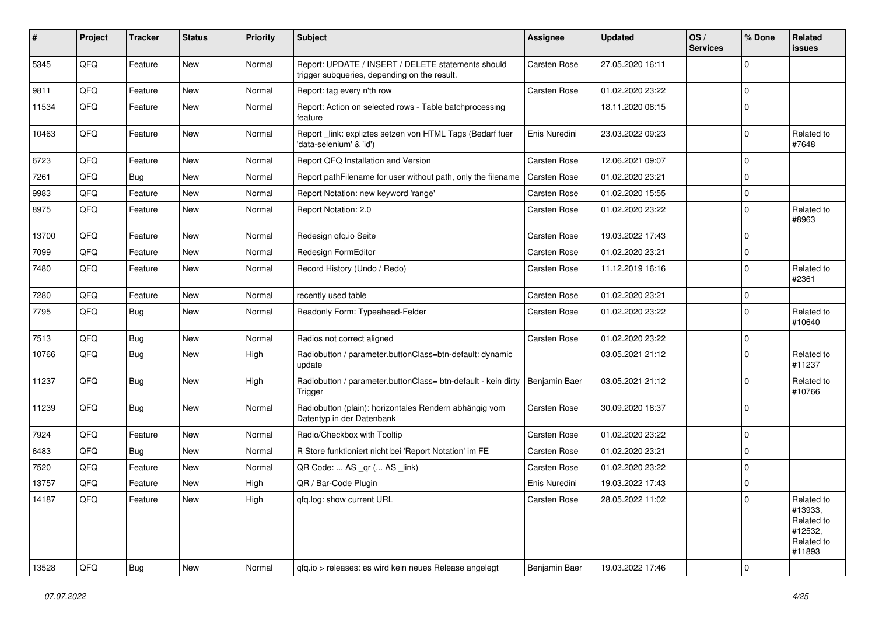| #     | Project | <b>Tracker</b> | <b>Status</b> | <b>Priority</b> | <b>Subject</b>                                                                                     | Assignee            | <b>Updated</b>   | OS/<br><b>Services</b> | % Done      | Related<br>issues                                                      |
|-------|---------|----------------|---------------|-----------------|----------------------------------------------------------------------------------------------------|---------------------|------------------|------------------------|-------------|------------------------------------------------------------------------|
| 5345  | QFQ     | Feature        | <b>New</b>    | Normal          | Report: UPDATE / INSERT / DELETE statements should<br>trigger subqueries, depending on the result. | Carsten Rose        | 27.05.2020 16:11 |                        | $\Omega$    |                                                                        |
| 9811  | QFQ     | Feature        | <b>New</b>    | Normal          | Report: tag every n'th row                                                                         | Carsten Rose        | 01.02.2020 23:22 |                        | $\mathbf 0$ |                                                                        |
| 11534 | QFQ     | Feature        | <b>New</b>    | Normal          | Report: Action on selected rows - Table batchprocessing<br>feature                                 |                     | 18.11.2020 08:15 |                        | $\Omega$    |                                                                        |
| 10463 | QFQ     | Feature        | <b>New</b>    | Normal          | Report _link: expliztes setzen von HTML Tags (Bedarf fuer<br>'data-selenium' & 'id')               | Enis Nuredini       | 23.03.2022 09:23 |                        | $\mathbf 0$ | Related to<br>#7648                                                    |
| 6723  | QFQ     | Feature        | <b>New</b>    | Normal          | Report QFQ Installation and Version                                                                | Carsten Rose        | 12.06.2021 09:07 |                        | $\Omega$    |                                                                        |
| 7261  | QFQ     | Bug            | <b>New</b>    | Normal          | Report pathFilename for user without path, only the filename                                       | Carsten Rose        | 01.02.2020 23:21 |                        | $\mathbf 0$ |                                                                        |
| 9983  | QFQ     | Feature        | <b>New</b>    | Normal          | Report Notation: new keyword 'range'                                                               | Carsten Rose        | 01.02.2020 15:55 |                        | $\mathbf 0$ |                                                                        |
| 8975  | QFQ     | Feature        | New           | Normal          | Report Notation: 2.0                                                                               | Carsten Rose        | 01.02.2020 23:22 |                        | $\Omega$    | Related to<br>#8963                                                    |
| 13700 | QFQ     | Feature        | <b>New</b>    | Normal          | Redesign qfq.io Seite                                                                              | Carsten Rose        | 19.03.2022 17:43 |                        | $\mathbf 0$ |                                                                        |
| 7099  | QFQ     | Feature        | <b>New</b>    | Normal          | Redesign FormEditor                                                                                | Carsten Rose        | 01.02.2020 23:21 |                        | $\mathbf 0$ |                                                                        |
| 7480  | QFQ     | Feature        | New           | Normal          | Record History (Undo / Redo)                                                                       | Carsten Rose        | 11.12.2019 16:16 |                        | $\mathbf 0$ | Related to<br>#2361                                                    |
| 7280  | QFQ     | Feature        | <b>New</b>    | Normal          | recently used table                                                                                | Carsten Rose        | 01.02.2020 23:21 |                        | $\mathbf 0$ |                                                                        |
| 7795  | QFQ     | Bug            | <b>New</b>    | Normal          | Readonly Form: Typeahead-Felder                                                                    | Carsten Rose        | 01.02.2020 23:22 |                        | $\Omega$    | Related to<br>#10640                                                   |
| 7513  | QFQ     | <b>Bug</b>     | <b>New</b>    | Normal          | Radios not correct aligned                                                                         | Carsten Rose        | 01.02.2020 23:22 |                        | $\mathbf 0$ |                                                                        |
| 10766 | QFQ     | <b>Bug</b>     | New           | High            | Radiobutton / parameter.buttonClass=btn-default: dynamic<br>update                                 |                     | 03.05.2021 21:12 |                        | $\Omega$    | Related to<br>#11237                                                   |
| 11237 | QFQ     | <b>Bug</b>     | New           | High            | Radiobutton / parameter.buttonClass= btn-default - kein dirty<br>Trigger                           | Benjamin Baer       | 03.05.2021 21:12 |                        | $\Omega$    | Related to<br>#10766                                                   |
| 11239 | QFQ     | Bug            | <b>New</b>    | Normal          | Radiobutton (plain): horizontales Rendern abhängig vom<br>Datentyp in der Datenbank                | Carsten Rose        | 30.09.2020 18:37 |                        | $\mathbf 0$ |                                                                        |
| 7924  | QFQ     | Feature        | New           | Normal          | Radio/Checkbox with Tooltip                                                                        | Carsten Rose        | 01.02.2020 23:22 |                        | $\mathbf 0$ |                                                                        |
| 6483  | QFQ     | Bug            | <b>New</b>    | Normal          | R Store funktioniert nicht bei 'Report Notation' im FE                                             | Carsten Rose        | 01.02.2020 23:21 |                        | $\Omega$    |                                                                        |
| 7520  | QFQ     | Feature        | <b>New</b>    | Normal          | QR Code:  AS _qr ( AS _link)                                                                       | Carsten Rose        | 01.02.2020 23:22 |                        | $\mathbf 0$ |                                                                        |
| 13757 | QFQ     | Feature        | New           | High            | QR / Bar-Code Plugin                                                                               | Enis Nuredini       | 19.03.2022 17:43 |                        | 0           |                                                                        |
| 14187 | QFQ     | Feature        | New           | High            | gfq.log: show current URL                                                                          | <b>Carsten Rose</b> | 28.05.2022 11:02 |                        | 0           | Related to<br>#13933,<br>Related to<br>#12532,<br>Related to<br>#11893 |
| 13528 | QFQ     | Bug            | New           | Normal          | gfq.io > releases: es wird kein neues Release angelegt                                             | Benjamin Baer       | 19.03.2022 17:46 |                        | $\pmb{0}$   |                                                                        |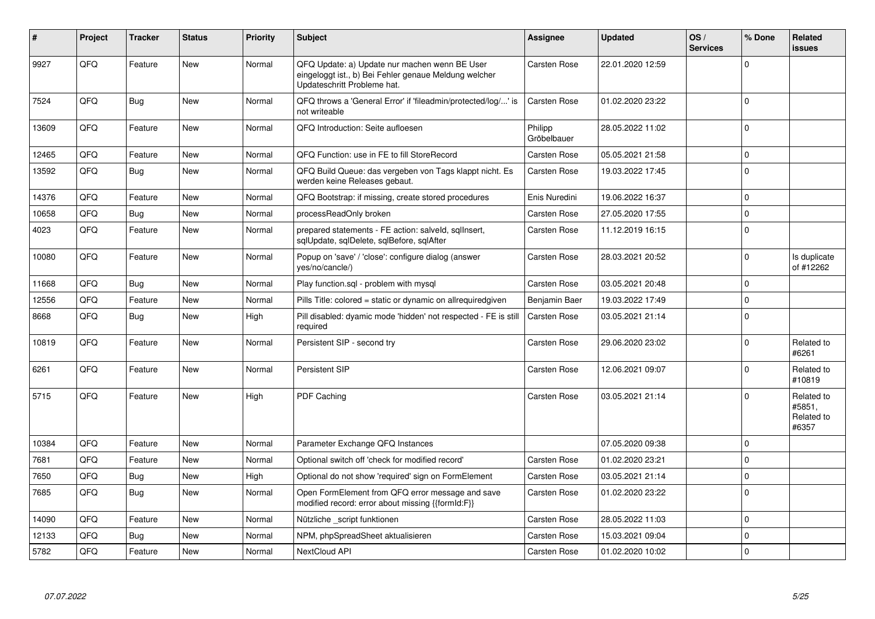| #     | Project | <b>Tracker</b> | <b>Status</b> | <b>Priority</b> | <b>Subject</b>                                                                                                                        | <b>Assignee</b>        | <b>Updated</b>   | OS/<br><b>Services</b> | % Done      | <b>Related</b><br><b>issues</b>             |
|-------|---------|----------------|---------------|-----------------|---------------------------------------------------------------------------------------------------------------------------------------|------------------------|------------------|------------------------|-------------|---------------------------------------------|
| 9927  | QFQ     | Feature        | <b>New</b>    | Normal          | QFQ Update: a) Update nur machen wenn BE User<br>eingeloggt ist., b) Bei Fehler genaue Meldung welcher<br>Updateschritt Probleme hat. | <b>Carsten Rose</b>    | 22.01.2020 12:59 |                        | $\Omega$    |                                             |
| 7524  | QFQ     | Bug            | <b>New</b>    | Normal          | QFQ throws a 'General Error' if 'fileadmin/protected/log/' is<br>not writeable                                                        | <b>Carsten Rose</b>    | 01.02.2020 23:22 |                        | $\mathbf 0$ |                                             |
| 13609 | QFQ     | Feature        | <b>New</b>    | Normal          | QFQ Introduction: Seite aufloesen                                                                                                     | Philipp<br>Gröbelbauer | 28.05.2022 11:02 |                        | $\mathbf 0$ |                                             |
| 12465 | QFQ     | Feature        | <b>New</b>    | Normal          | QFQ Function: use in FE to fill StoreRecord                                                                                           | <b>Carsten Rose</b>    | 05.05.2021 21:58 |                        | $\mathbf 0$ |                                             |
| 13592 | QFQ     | Bug            | <b>New</b>    | Normal          | QFQ Build Queue: das vergeben von Tags klappt nicht. Es<br>werden keine Releases gebaut.                                              | <b>Carsten Rose</b>    | 19.03.2022 17:45 |                        | $\mathbf 0$ |                                             |
| 14376 | QFQ     | Feature        | <b>New</b>    | Normal          | QFQ Bootstrap: if missing, create stored procedures                                                                                   | Enis Nuredini          | 19.06.2022 16:37 |                        | $\pmb{0}$   |                                             |
| 10658 | QFQ     | Bug            | <b>New</b>    | Normal          | processReadOnly broken                                                                                                                | <b>Carsten Rose</b>    | 27.05.2020 17:55 |                        | $\pmb{0}$   |                                             |
| 4023  | QFQ     | Feature        | <b>New</b>    | Normal          | prepared statements - FE action: salveld, sqllnsert,<br>sqlUpdate, sqlDelete, sqlBefore, sqlAfter                                     | <b>Carsten Rose</b>    | 11.12.2019 16:15 |                        | $\mathbf 0$ |                                             |
| 10080 | QFQ     | Feature        | <b>New</b>    | Normal          | Popup on 'save' / 'close': configure dialog (answer<br>yes/no/cancle/)                                                                | <b>Carsten Rose</b>    | 28.03.2021 20:52 |                        | $\Omega$    | Is duplicate<br>of #12262                   |
| 11668 | QFQ     | Bug            | <b>New</b>    | Normal          | Play function.sql - problem with mysql                                                                                                | <b>Carsten Rose</b>    | 03.05.2021 20:48 |                        | $\mathbf 0$ |                                             |
| 12556 | QFQ     | Feature        | <b>New</b>    | Normal          | Pills Title: colored = static or dynamic on allrequiredgiven                                                                          | Benjamin Baer          | 19.03.2022 17:49 |                        | $\mathbf 0$ |                                             |
| 8668  | QFQ     | Bug            | <b>New</b>    | High            | Pill disabled: dyamic mode 'hidden' not respected - FE is still<br>required                                                           | Carsten Rose           | 03.05.2021 21:14 |                        | $\Omega$    |                                             |
| 10819 | QFQ     | Feature        | <b>New</b>    | Normal          | Persistent SIP - second try                                                                                                           | <b>Carsten Rose</b>    | 29.06.2020 23:02 |                        | $\Omega$    | Related to<br>#6261                         |
| 6261  | QFQ     | Feature        | <b>New</b>    | Normal          | Persistent SIP                                                                                                                        | <b>Carsten Rose</b>    | 12.06.2021 09:07 |                        | $\mathbf 0$ | Related to<br>#10819                        |
| 5715  | QFQ     | Feature        | <b>New</b>    | High            | PDF Caching                                                                                                                           | <b>Carsten Rose</b>    | 03.05.2021 21:14 |                        | $\mathbf 0$ | Related to<br>#5851,<br>Related to<br>#6357 |
| 10384 | QFQ     | Feature        | <b>New</b>    | Normal          | Parameter Exchange QFQ Instances                                                                                                      |                        | 07.05.2020 09:38 |                        | $\mathbf 0$ |                                             |
| 7681  | QFQ     | Feature        | <b>New</b>    | Normal          | Optional switch off 'check for modified record'                                                                                       | <b>Carsten Rose</b>    | 01.02.2020 23:21 |                        | $\mathbf 0$ |                                             |
| 7650  | QFQ     | Bug            | <b>New</b>    | High            | Optional do not show 'required' sign on FormElement                                                                                   | <b>Carsten Rose</b>    | 03.05.2021 21:14 |                        | $\mathbf 0$ |                                             |
| 7685  | QFQ     | Bug            | <b>New</b>    | Normal          | Open FormElement from QFQ error message and save<br>modified record: error about missing {{formId:F}}                                 | Carsten Rose           | 01.02.2020 23:22 |                        | $\Omega$    |                                             |
| 14090 | QFQ     | Feature        | <b>New</b>    | Normal          | Nützliche script funktionen                                                                                                           | <b>Carsten Rose</b>    | 28.05.2022 11:03 |                        | $\mathbf 0$ |                                             |
| 12133 | QFQ     | Bug            | <b>New</b>    | Normal          | NPM, phpSpreadSheet aktualisieren                                                                                                     | <b>Carsten Rose</b>    | 15.03.2021 09:04 |                        | $\mathbf 0$ |                                             |
| 5782  | QFQ     | Feature        | <b>New</b>    | Normal          | NextCloud API                                                                                                                         | Carsten Rose           | 01.02.2020 10:02 |                        | $\mathbf 0$ |                                             |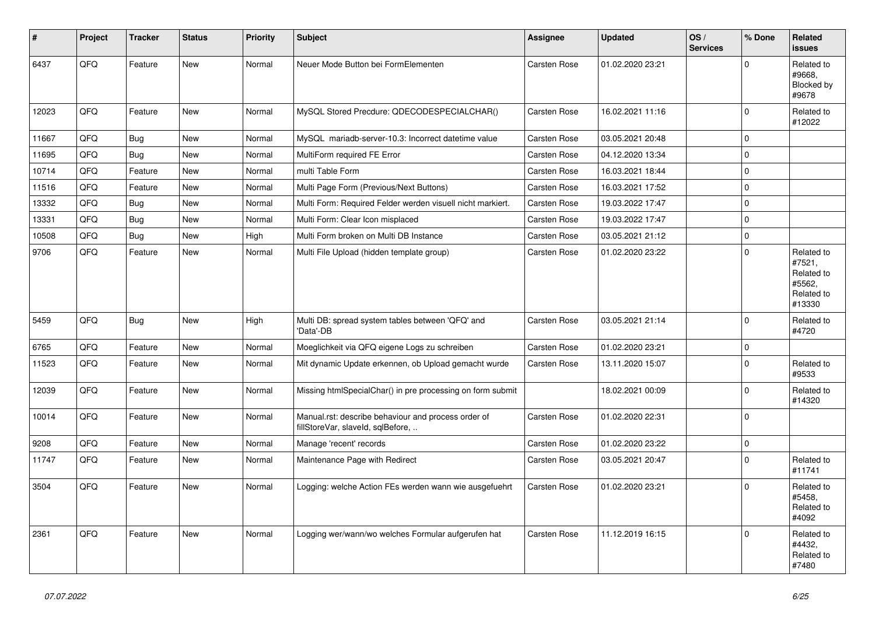| #     | Project | <b>Tracker</b> | <b>Status</b> | <b>Priority</b> | <b>Subject</b>                                                                           | <b>Assignee</b>     | <b>Updated</b>   | OS/<br><b>Services</b> | % Done   | Related<br><b>issues</b>                                             |
|-------|---------|----------------|---------------|-----------------|------------------------------------------------------------------------------------------|---------------------|------------------|------------------------|----------|----------------------------------------------------------------------|
| 6437  | QFQ     | Feature        | New           | Normal          | Neuer Mode Button bei FormElementen                                                      | Carsten Rose        | 01.02.2020 23:21 |                        | $\Omega$ | Related to<br>#9668,<br>Blocked by<br>#9678                          |
| 12023 | QFQ     | Feature        | <b>New</b>    | Normal          | MySQL Stored Precdure: QDECODESPECIALCHAR()                                              | <b>Carsten Rose</b> | 16.02.2021 11:16 |                        | 0        | Related to<br>#12022                                                 |
| 11667 | QFQ     | Bug            | <b>New</b>    | Normal          | MySQL mariadb-server-10.3: Incorrect datetime value                                      | Carsten Rose        | 03.05.2021 20:48 |                        | 0        |                                                                      |
| 11695 | QFQ     | Bug            | <b>New</b>    | Normal          | MultiForm required FE Error                                                              | Carsten Rose        | 04.12.2020 13:34 |                        | 0        |                                                                      |
| 10714 | QFQ     | Feature        | <b>New</b>    | Normal          | multi Table Form                                                                         | Carsten Rose        | 16.03.2021 18:44 |                        | 0        |                                                                      |
| 11516 | QFQ     | Feature        | <b>New</b>    | Normal          | Multi Page Form (Previous/Next Buttons)                                                  | Carsten Rose        | 16.03.2021 17:52 |                        | $\Omega$ |                                                                      |
| 13332 | QFQ     | <b>Bug</b>     | <b>New</b>    | Normal          | Multi Form: Required Felder werden visuell nicht markiert.                               | Carsten Rose        | 19.03.2022 17:47 |                        | 0        |                                                                      |
| 13331 | QFQ     | Bug            | <b>New</b>    | Normal          | Multi Form: Clear Icon misplaced                                                         | Carsten Rose        | 19.03.2022 17:47 |                        | 0        |                                                                      |
| 10508 | QFQ     | Bug            | <b>New</b>    | High            | Multi Form broken on Multi DB Instance                                                   | <b>Carsten Rose</b> | 03.05.2021 21:12 |                        | 0        |                                                                      |
| 9706  | QFQ     | Feature        | New           | Normal          | Multi File Upload (hidden template group)                                                | <b>Carsten Rose</b> | 01.02.2020 23:22 |                        | $\Omega$ | Related to<br>#7521,<br>Related to<br>#5562,<br>Related to<br>#13330 |
| 5459  | QFQ     | Bug            | New           | High            | Multi DB: spread system tables between 'QFQ' and<br>'Data'-DB                            | <b>Carsten Rose</b> | 03.05.2021 21:14 |                        | $\Omega$ | Related to<br>#4720                                                  |
| 6765  | QFQ     | Feature        | <b>New</b>    | Normal          | Moeglichkeit via QFQ eigene Logs zu schreiben                                            | Carsten Rose        | 01.02.2020 23:21 |                        | $\Omega$ |                                                                      |
| 11523 | QFQ     | Feature        | <b>New</b>    | Normal          | Mit dynamic Update erkennen, ob Upload gemacht wurde                                     | Carsten Rose        | 13.11.2020 15:07 |                        | 0        | Related to<br>#9533                                                  |
| 12039 | QFQ     | Feature        | New           | Normal          | Missing htmlSpecialChar() in pre processing on form submit                               |                     | 18.02.2021 00:09 |                        | 0        | Related to<br>#14320                                                 |
| 10014 | QFQ     | Feature        | New           | Normal          | Manual.rst: describe behaviour and process order of<br>fillStoreVar, slaveId, sqlBefore, | <b>Carsten Rose</b> | 01.02.2020 22:31 |                        | 0        |                                                                      |
| 9208  | QFQ     | Feature        | <b>New</b>    | Normal          | Manage 'recent' records                                                                  | Carsten Rose        | 01.02.2020 23:22 |                        | 0        |                                                                      |
| 11747 | QFQ     | Feature        | New           | Normal          | Maintenance Page with Redirect                                                           | Carsten Rose        | 03.05.2021 20:47 |                        | 0        | Related to<br>#11741                                                 |
| 3504  | QFQ     | Feature        | <b>New</b>    | Normal          | Logging: welche Action FEs werden wann wie ausgefuehrt                                   | <b>Carsten Rose</b> | 01.02.2020 23:21 |                        | $\Omega$ | Related to<br>#5458,<br>Related to<br>#4092                          |
| 2361  | QFQ     | Feature        | <b>New</b>    | Normal          | Logging wer/wann/wo welches Formular aufgerufen hat                                      | <b>Carsten Rose</b> | 11.12.2019 16:15 |                        | $\Omega$ | Related to<br>#4432,<br>Related to<br>#7480                          |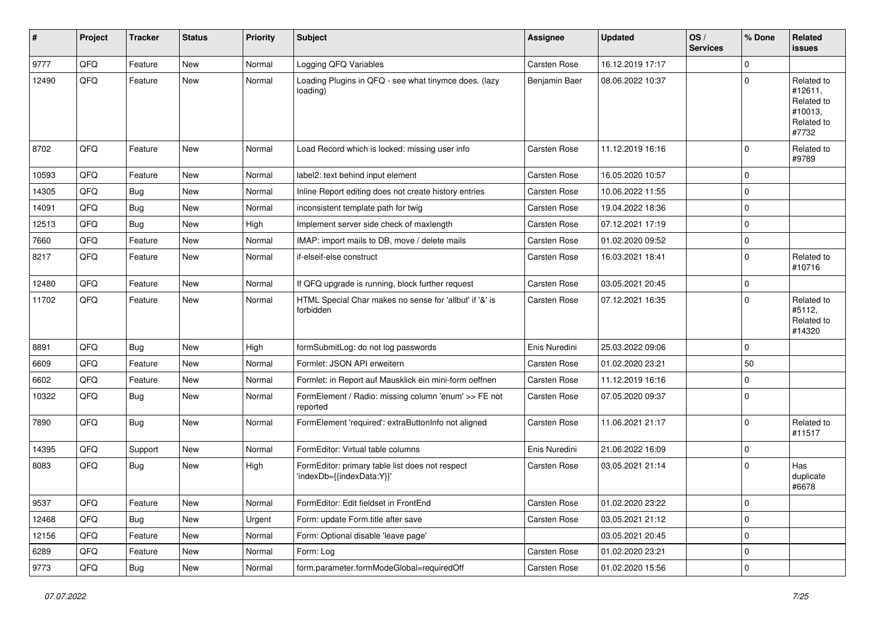| #     | Project | <b>Tracker</b> | <b>Status</b> | <b>Priority</b> | <b>Subject</b>                                                               | Assignee            | <b>Updated</b>   | OS/<br><b>Services</b> | % Done      | Related<br><b>issues</b>                                              |
|-------|---------|----------------|---------------|-----------------|------------------------------------------------------------------------------|---------------------|------------------|------------------------|-------------|-----------------------------------------------------------------------|
| 9777  | QFQ     | Feature        | <b>New</b>    | Normal          | Logging QFQ Variables                                                        | <b>Carsten Rose</b> | 16.12.2019 17:17 |                        | $\mathbf 0$ |                                                                       |
| 12490 | QFQ     | Feature        | <b>New</b>    | Normal          | Loading Plugins in QFQ - see what tinymce does. (lazy<br>loading)            | Benjamin Baer       | 08.06.2022 10:37 |                        | $\Omega$    | Related to<br>#12611,<br>Related to<br>#10013,<br>Related to<br>#7732 |
| 8702  | QFQ     | Feature        | <b>New</b>    | Normal          | Load Record which is locked: missing user info                               | Carsten Rose        | 11.12.2019 16:16 |                        | $\Omega$    | Related to<br>#9789                                                   |
| 10593 | QFQ     | Feature        | <b>New</b>    | Normal          | label2: text behind input element                                            | <b>Carsten Rose</b> | 16.05.2020 10:57 |                        | $\mathbf 0$ |                                                                       |
| 14305 | QFQ     | <b>Bug</b>     | <b>New</b>    | Normal          | Inline Report editing does not create history entries                        | <b>Carsten Rose</b> | 10.06.2022 11:55 |                        | $\mathbf 0$ |                                                                       |
| 14091 | QFQ     | Bug            | New           | Normal          | inconsistent template path for twig                                          | <b>Carsten Rose</b> | 19.04.2022 18:36 |                        | $\mathbf 0$ |                                                                       |
| 12513 | QFQ     | Bug            | <b>New</b>    | High            | Implement server side check of maxlength                                     | <b>Carsten Rose</b> | 07.12.2021 17:19 |                        | $\mathbf 0$ |                                                                       |
| 7660  | QFQ     | Feature        | New           | Normal          | IMAP: import mails to DB, move / delete mails                                | <b>Carsten Rose</b> | 01.02.2020 09:52 |                        | $\mathbf 0$ |                                                                       |
| 8217  | QFQ     | Feature        | New           | Normal          | if-elseif-else construct                                                     | <b>Carsten Rose</b> | 16.03.2021 18:41 |                        | $\mathbf 0$ | Related to<br>#10716                                                  |
| 12480 | QFQ     | Feature        | New           | Normal          | If QFQ upgrade is running, block further request                             | <b>Carsten Rose</b> | 03.05.2021 20:45 |                        | $\mathbf 0$ |                                                                       |
| 11702 | QFQ     | Feature        | <b>New</b>    | Normal          | HTML Special Char makes no sense for 'allbut' if '&' is<br>forbidden         | <b>Carsten Rose</b> | 07.12.2021 16:35 |                        | $\Omega$    | Related to<br>#5112,<br>Related to<br>#14320                          |
| 8891  | QFQ     | Bug            | <b>New</b>    | High            | formSubmitLog: do not log passwords                                          | Enis Nuredini       | 25.03.2022 09:06 |                        | $\mathbf 0$ |                                                                       |
| 6609  | QFQ     | Feature        | <b>New</b>    | Normal          | Formlet: JSON API erweitern                                                  | <b>Carsten Rose</b> | 01.02.2020 23:21 |                        | 50          |                                                                       |
| 6602  | QFQ     | Feature        | <b>New</b>    | Normal          | Formlet: in Report auf Mausklick ein mini-form oeffnen                       | <b>Carsten Rose</b> | 11.12.2019 16:16 |                        | 0           |                                                                       |
| 10322 | QFQ     | <b>Bug</b>     | <b>New</b>    | Normal          | FormElement / Radio: missing column 'enum' >> FE not<br>reported             | <b>Carsten Rose</b> | 07.05.2020 09:37 |                        | $\mathbf 0$ |                                                                       |
| 7890  | QFQ     | Bug            | <b>New</b>    | Normal          | FormElement 'required': extraButtonInfo not aligned                          | Carsten Rose        | 11.06.2021 21:17 |                        | $\Omega$    | Related to<br>#11517                                                  |
| 14395 | QFQ     | Support        | <b>New</b>    | Normal          | FormEditor: Virtual table columns                                            | Enis Nuredini       | 21.06.2022 16:09 |                        | $\mathbf 0$ |                                                                       |
| 8083  | QFQ     | <b>Bug</b>     | <b>New</b>    | High            | FormEditor: primary table list does not respect<br>'indexDb={{indexData:Y}}' | <b>Carsten Rose</b> | 03.05.2021 21:14 |                        | $\mathbf 0$ | Has<br>duplicate<br>#6678                                             |
| 9537  | QFQ     | Feature        | New           | Normal          | FormEditor: Edit fieldset in FrontEnd                                        | Carsten Rose        | 01.02.2020 23:22 |                        | 0           |                                                                       |
| 12468 | QFQ     | <b>Bug</b>     | New           | Urgent          | Form: update Form.title after save                                           | Carsten Rose        | 03.05.2021 21:12 |                        | $\pmb{0}$   |                                                                       |
| 12156 | QFQ     | Feature        | New           | Normal          | Form: Optional disable 'leave page'                                          |                     | 03.05.2021 20:45 |                        | 0           |                                                                       |
| 6289  | QFQ     | Feature        | New           | Normal          | Form: Log                                                                    | Carsten Rose        | 01.02.2020 23:21 |                        | $\mathbf 0$ |                                                                       |
| 9773  | QFQ     | <b>Bug</b>     | New           | Normal          | form.parameter.formModeGlobal=requiredOff                                    | Carsten Rose        | 01.02.2020 15:56 |                        | $\mathbf 0$ |                                                                       |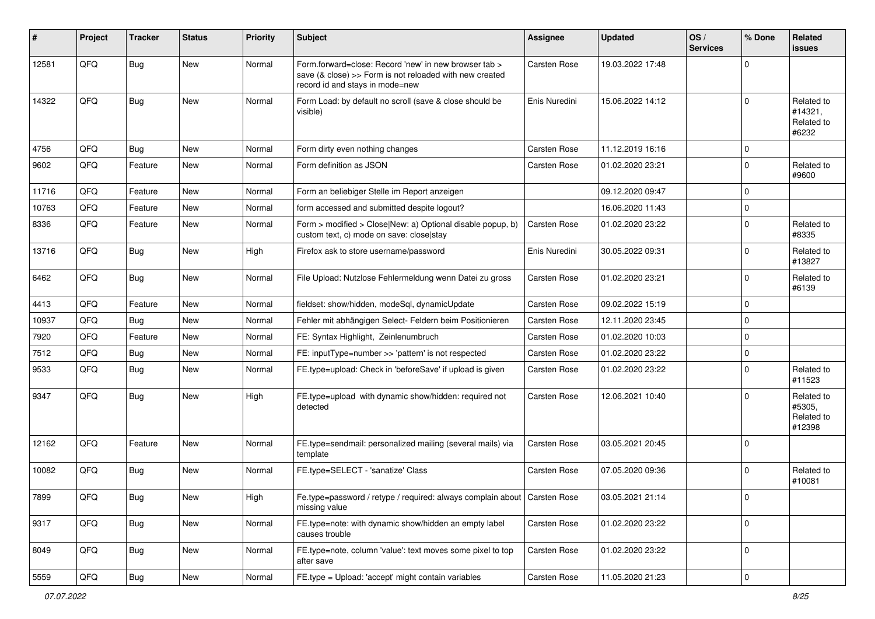| #     | Project | <b>Tracker</b> | <b>Status</b> | <b>Priority</b> | Subject                                                                                                                                             | <b>Assignee</b>     | <b>Updated</b>   | OS/<br><b>Services</b> | % Done      | Related<br><b>issues</b>                     |
|-------|---------|----------------|---------------|-----------------|-----------------------------------------------------------------------------------------------------------------------------------------------------|---------------------|------------------|------------------------|-------------|----------------------------------------------|
| 12581 | QFQ     | <b>Bug</b>     | New           | Normal          | Form.forward=close: Record 'new' in new browser tab ><br>save (& close) >> Form is not reloaded with new created<br>record id and stays in mode=new | Carsten Rose        | 19.03.2022 17:48 |                        | $\Omega$    |                                              |
| 14322 | QFQ     | <b>Bug</b>     | New           | Normal          | Form Load: by default no scroll (save & close should be<br>visible)                                                                                 | Enis Nuredini       | 15.06.2022 14:12 |                        | $\Omega$    | Related to<br>#14321,<br>Related to<br>#6232 |
| 4756  | QFQ     | <b>Bug</b>     | <b>New</b>    | Normal          | Form dirty even nothing changes                                                                                                                     | Carsten Rose        | 11.12.2019 16:16 |                        | $\Omega$    |                                              |
| 9602  | QFQ     | Feature        | <b>New</b>    | Normal          | Form definition as JSON                                                                                                                             | <b>Carsten Rose</b> | 01.02.2020 23:21 |                        | $\mathbf 0$ | Related to<br>#9600                          |
| 11716 | QFQ     | Feature        | <b>New</b>    | Normal          | Form an beliebiger Stelle im Report anzeigen                                                                                                        |                     | 09.12.2020 09:47 |                        | $\Omega$    |                                              |
| 10763 | QFQ     | Feature        | <b>New</b>    | Normal          | form accessed and submitted despite logout?                                                                                                         |                     | 16.06.2020 11:43 |                        | $\mathbf 0$ |                                              |
| 8336  | QFQ     | Feature        | New           | Normal          | Form > modified > Close New: a) Optional disable popup, b)<br>custom text, c) mode on save: close stay                                              | Carsten Rose        | 01.02.2020 23:22 |                        | $\mathbf 0$ | Related to<br>#8335                          |
| 13716 | QFQ     | Bug            | New           | High            | Firefox ask to store username/password                                                                                                              | Enis Nuredini       | 30.05.2022 09:31 |                        | $\Omega$    | Related to<br>#13827                         |
| 6462  | QFQ     | Bug            | <b>New</b>    | Normal          | File Upload: Nutzlose Fehlermeldung wenn Datei zu gross                                                                                             | <b>Carsten Rose</b> | 01.02.2020 23:21 |                        | $\mathbf 0$ | Related to<br>#6139                          |
| 4413  | QFQ     | Feature        | <b>New</b>    | Normal          | fieldset: show/hidden, modeSql, dynamicUpdate                                                                                                       | Carsten Rose        | 09.02.2022 15:19 |                        | $\Omega$    |                                              |
| 10937 | QFQ     | Bug            | <b>New</b>    | Normal          | Fehler mit abhängigen Select- Feldern beim Positionieren                                                                                            | <b>Carsten Rose</b> | 12.11.2020 23:45 |                        | $\mathbf 0$ |                                              |
| 7920  | QFQ     | Feature        | <b>New</b>    | Normal          | FE: Syntax Highlight, Zeinlenumbruch                                                                                                                | Carsten Rose        | 01.02.2020 10:03 |                        | $\mathbf 0$ |                                              |
| 7512  | QFQ     | <b>Bug</b>     | <b>New</b>    | Normal          | FE: inputType=number >> 'pattern' is not respected                                                                                                  | <b>Carsten Rose</b> | 01.02.2020 23:22 |                        | $\mathbf 0$ |                                              |
| 9533  | QFQ     | Bug            | <b>New</b>    | Normal          | FE.type=upload: Check in 'beforeSave' if upload is given                                                                                            | Carsten Rose        | 01.02.2020 23:22 |                        | $\Omega$    | Related to<br>#11523                         |
| 9347  | QFQ     | Bug            | <b>New</b>    | High            | FE.type=upload with dynamic show/hidden: required not<br>detected                                                                                   | Carsten Rose        | 12.06.2021 10:40 |                        | $\Omega$    | Related to<br>#5305,<br>Related to<br>#12398 |
| 12162 | QFQ     | Feature        | New           | Normal          | FE.type=sendmail: personalized mailing (several mails) via<br>template                                                                              | Carsten Rose        | 03.05.2021 20:45 |                        | $\mathbf 0$ |                                              |
| 10082 | QFQ     | Bug            | New           | Normal          | FE.type=SELECT - 'sanatize' Class                                                                                                                   | <b>Carsten Rose</b> | 07.05.2020 09:36 |                        | $\mathbf 0$ | Related to<br>#10081                         |
| 7899  | QFQ     | <b>Bug</b>     | New           | High            | Fe.type=password / retype / required: always complain about   Carsten Rose<br>missing value                                                         |                     | 03.05.2021 21:14 |                        | 0           |                                              |
| 9317  | QFQ     | <b>Bug</b>     | New           | Normal          | FE.type=note: with dynamic show/hidden an empty label<br>causes trouble                                                                             | Carsten Rose        | 01.02.2020 23:22 |                        | $\mathbf 0$ |                                              |
| 8049  | QFQ     | <b>Bug</b>     | New           | Normal          | FE.type=note, column 'value': text moves some pixel to top<br>after save                                                                            | Carsten Rose        | 01.02.2020 23:22 |                        | $\mathbf 0$ |                                              |
| 5559  | QFQ     | Bug            | New           | Normal          | FE.type = Upload: 'accept' might contain variables                                                                                                  | Carsten Rose        | 11.05.2020 21:23 |                        | $\pmb{0}$   |                                              |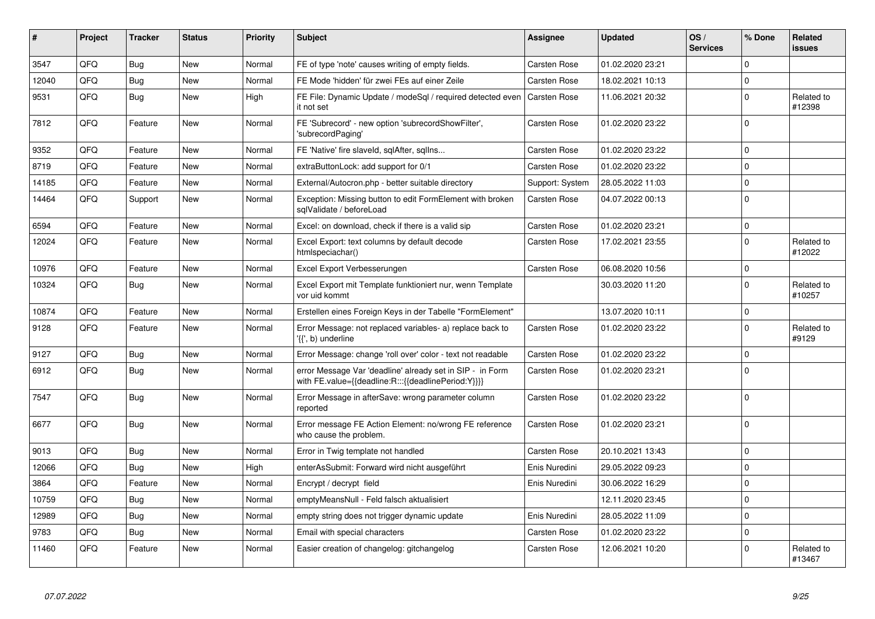| ∥ #   | Project | <b>Tracker</b> | <b>Status</b> | <b>Priority</b> | <b>Subject</b>                                                                                                   | Assignee            | <b>Updated</b>   | OS/<br><b>Services</b> | % Done      | Related<br><b>issues</b> |
|-------|---------|----------------|---------------|-----------------|------------------------------------------------------------------------------------------------------------------|---------------------|------------------|------------------------|-------------|--------------------------|
| 3547  | QFQ     | Bug            | <b>New</b>    | Normal          | FE of type 'note' causes writing of empty fields.                                                                | <b>Carsten Rose</b> | 01.02.2020 23:21 |                        | $\Omega$    |                          |
| 12040 | QFQ     | Bug            | <b>New</b>    | Normal          | FE Mode 'hidden' für zwei FEs auf einer Zeile                                                                    | <b>Carsten Rose</b> | 18.02.2021 10:13 |                        | $\mathbf 0$ |                          |
| 9531  | QFQ     | <b>Bug</b>     | <b>New</b>    | High            | FE File: Dynamic Update / modeSgl / required detected even<br>it not set                                         | <b>Carsten Rose</b> | 11.06.2021 20:32 |                        | $\mathbf 0$ | Related to<br>#12398     |
| 7812  | QFQ     | Feature        | <b>New</b>    | Normal          | FE 'Subrecord' - new option 'subrecordShowFilter',<br>'subrecordPaging'                                          | Carsten Rose        | 01.02.2020 23:22 |                        | $\Omega$    |                          |
| 9352  | QFQ     | Feature        | <b>New</b>    | Normal          | FE 'Native' fire slaveld, sqlAfter, sqlIns                                                                       | Carsten Rose        | 01.02.2020 23:22 |                        | $\mathbf 0$ |                          |
| 8719  | QFQ     | Feature        | New           | Normal          | extraButtonLock: add support for 0/1                                                                             | <b>Carsten Rose</b> | 01.02.2020 23:22 |                        | $\mathbf 0$ |                          |
| 14185 | QFQ     | Feature        | <b>New</b>    | Normal          | External/Autocron.php - better suitable directory                                                                | Support: System     | 28.05.2022 11:03 |                        | $\pmb{0}$   |                          |
| 14464 | QFQ     | Support        | New           | Normal          | Exception: Missing button to edit FormElement with broken<br>sqlValidate / beforeLoad                            | <b>Carsten Rose</b> | 04.07.2022 00:13 |                        | $\mathbf 0$ |                          |
| 6594  | QFQ     | Feature        | <b>New</b>    | Normal          | Excel: on download, check if there is a valid sip                                                                | <b>Carsten Rose</b> | 01.02.2020 23:21 |                        | $\pmb{0}$   |                          |
| 12024 | QFQ     | Feature        | New           | Normal          | Excel Export: text columns by default decode<br>htmlspeciachar()                                                 | <b>Carsten Rose</b> | 17.02.2021 23:55 |                        | $\mathbf 0$ | Related to<br>#12022     |
| 10976 | QFQ     | Feature        | <b>New</b>    | Normal          | Excel Export Verbesserungen                                                                                      | <b>Carsten Rose</b> | 06.08.2020 10:56 |                        | $\mathbf 0$ |                          |
| 10324 | QFQ     | Bug            | <b>New</b>    | Normal          | Excel Export mit Template funktioniert nur, wenn Template<br>vor uid kommt                                       |                     | 30.03.2020 11:20 |                        | $\mathbf 0$ | Related to<br>#10257     |
| 10874 | QFQ     | Feature        | <b>New</b>    | Normal          | Erstellen eines Foreign Keys in der Tabelle "FormElement"                                                        |                     | 13.07.2020 10:11 |                        | $\mathbf 0$ |                          |
| 9128  | QFQ     | Feature        | New           | Normal          | Error Message: not replaced variables- a) replace back to<br>'{{', b) underline                                  | Carsten Rose        | 01.02.2020 23:22 |                        | $\Omega$    | Related to<br>#9129      |
| 9127  | QFQ     | Bug            | <b>New</b>    | Normal          | Error Message: change 'roll over' color - text not readable                                                      | Carsten Rose        | 01.02.2020 23:22 |                        | $\mathbf 0$ |                          |
| 6912  | QFQ     | <b>Bug</b>     | <b>New</b>    | Normal          | error Message Var 'deadline' already set in SIP - in Form<br>with FE.value={{deadline:R:::{{deadlinePeriod:Y}}}} | <b>Carsten Rose</b> | 01.02.2020 23:21 |                        | $\Omega$    |                          |
| 7547  | QFQ     | <b>Bug</b>     | <b>New</b>    | Normal          | Error Message in afterSave: wrong parameter column<br>reported                                                   | <b>Carsten Rose</b> | 01.02.2020 23:22 |                        | $\mathbf 0$ |                          |
| 6677  | QFQ     | Bug            | <b>New</b>    | Normal          | Error message FE Action Element: no/wrong FE reference<br>who cause the problem.                                 | Carsten Rose        | 01.02.2020 23:21 |                        | $\mathbf 0$ |                          |
| 9013  | QFQ     | Bug            | <b>New</b>    | Normal          | Error in Twig template not handled                                                                               | <b>Carsten Rose</b> | 20.10.2021 13:43 |                        | $\mathbf 0$ |                          |
| 12066 | QFQ     | Bug            | New           | High            | enterAsSubmit: Forward wird nicht ausgeführt                                                                     | Enis Nuredini       | 29.05.2022 09:23 |                        | $\mathbf 0$ |                          |
| 3864  | QFQ     | Feature        | New           | Normal          | Encrypt / decrypt field                                                                                          | Enis Nuredini       | 30.06.2022 16:29 |                        | $\mathbf 0$ |                          |
| 10759 | QFQ     | <b>Bug</b>     | <b>New</b>    | Normal          | emptyMeansNull - Feld falsch aktualisiert                                                                        |                     | 12.11.2020 23:45 |                        | $\mathbf 0$ |                          |
| 12989 | QFQ     | Bug            | <b>New</b>    | Normal          | empty string does not trigger dynamic update                                                                     | Enis Nuredini       | 28.05.2022 11:09 |                        | $\mathbf 0$ |                          |
| 9783  | QFQ     | Bug            | <b>New</b>    | Normal          | Email with special characters                                                                                    | Carsten Rose        | 01.02.2020 23:22 |                        | $\pmb{0}$   |                          |
| 11460 | QFQ     | Feature        | <b>New</b>    | Normal          | Easier creation of changelog: gitchangelog                                                                       | <b>Carsten Rose</b> | 12.06.2021 10:20 |                        | $\mathbf 0$ | Related to<br>#13467     |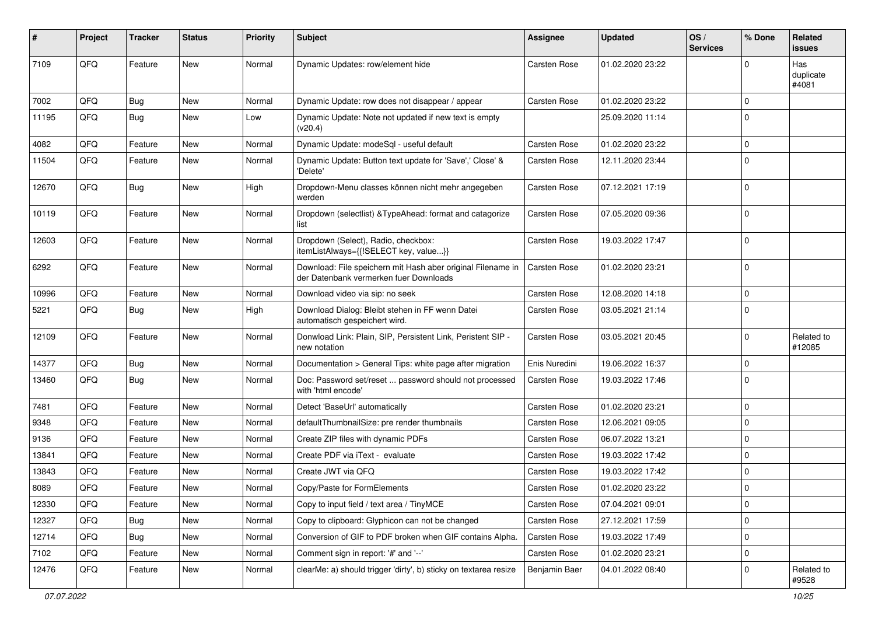| #     | Project | <b>Tracker</b> | <b>Status</b> | <b>Priority</b> | <b>Subject</b>                                                                                        | Assignee            | <b>Updated</b>   | OS/<br><b>Services</b> | % Done      | <b>Related</b><br><b>issues</b> |
|-------|---------|----------------|---------------|-----------------|-------------------------------------------------------------------------------------------------------|---------------------|------------------|------------------------|-------------|---------------------------------|
| 7109  | QFQ     | Feature        | <b>New</b>    | Normal          | Dynamic Updates: row/element hide                                                                     | <b>Carsten Rose</b> | 01.02.2020 23:22 |                        | $\Omega$    | Has<br>duplicate<br>#4081       |
| 7002  | QFQ     | Bug            | <b>New</b>    | Normal          | Dynamic Update: row does not disappear / appear                                                       | <b>Carsten Rose</b> | 01.02.2020 23:22 |                        | $\mathbf 0$ |                                 |
| 11195 | QFQ     | <b>Bug</b>     | <b>New</b>    | Low             | Dynamic Update: Note not updated if new text is empty<br>(v20.4)                                      |                     | 25.09.2020 11:14 |                        | $\mathbf 0$ |                                 |
| 4082  | QFQ     | Feature        | <b>New</b>    | Normal          | Dynamic Update: modeSql - useful default                                                              | <b>Carsten Rose</b> | 01.02.2020 23:22 |                        | $\mathbf 0$ |                                 |
| 11504 | QFQ     | Feature        | New           | Normal          | Dynamic Update: Button text update for 'Save',' Close' &<br>'Delete'                                  | Carsten Rose        | 12.11.2020 23:44 |                        | $\mathbf 0$ |                                 |
| 12670 | QFQ     | Bug            | <b>New</b>    | High            | Dropdown-Menu classes können nicht mehr angegeben<br>werden                                           | Carsten Rose        | 07.12.2021 17:19 |                        | $\mathbf 0$ |                                 |
| 10119 | QFQ     | Feature        | <b>New</b>    | Normal          | Dropdown (selectlist) & TypeAhead: format and catagorize<br>list                                      | <b>Carsten Rose</b> | 07.05.2020 09:36 |                        | $\mathbf 0$ |                                 |
| 12603 | QFQ     | Feature        | New           | Normal          | Dropdown (Select), Radio, checkbox:<br>itemListAlways={{!SELECT key, value}}                          | Carsten Rose        | 19.03.2022 17:47 |                        | $\mathbf 0$ |                                 |
| 6292  | QFQ     | Feature        | <b>New</b>    | Normal          | Download: File speichern mit Hash aber original Filename in<br>der Datenbank vermerken fuer Downloads | <b>Carsten Rose</b> | 01.02.2020 23:21 |                        | $\mathbf 0$ |                                 |
| 10996 | QFQ     | Feature        | <b>New</b>    | Normal          | Download video via sip: no seek                                                                       | <b>Carsten Rose</b> | 12.08.2020 14:18 |                        | $\mathbf 0$ |                                 |
| 5221  | QFQ     | Bug            | <b>New</b>    | High            | Download Dialog: Bleibt stehen in FF wenn Datei<br>automatisch gespeichert wird.                      | Carsten Rose        | 03.05.2021 21:14 |                        | $\mathbf 0$ |                                 |
| 12109 | QFQ     | Feature        | <b>New</b>    | Normal          | Donwload Link: Plain, SIP, Persistent Link, Peristent SIP -<br>new notation                           | Carsten Rose        | 03.05.2021 20:45 |                        | $\mathbf 0$ | Related to<br>#12085            |
| 14377 | QFQ     | Bug            | <b>New</b>    | Normal          | Documentation > General Tips: white page after migration                                              | Enis Nuredini       | 19.06.2022 16:37 |                        | $\mathbf 0$ |                                 |
| 13460 | QFQ     | Bug            | New           | Normal          | Doc: Password set/reset  password should not processed<br>with 'html encode'                          | Carsten Rose        | 19.03.2022 17:46 |                        | $\mathbf 0$ |                                 |
| 7481  | QFQ     | Feature        | <b>New</b>    | Normal          | Detect 'BaseUrl' automatically                                                                        | Carsten Rose        | 01.02.2020 23:21 |                        | $\mathbf 0$ |                                 |
| 9348  | QFQ     | Feature        | <b>New</b>    | Normal          | defaultThumbnailSize: pre render thumbnails                                                           | <b>Carsten Rose</b> | 12.06.2021 09:05 |                        | $\mathbf 0$ |                                 |
| 9136  | QFQ     | Feature        | New           | Normal          | Create ZIP files with dynamic PDFs                                                                    | <b>Carsten Rose</b> | 06.07.2022 13:21 |                        | $\mathbf 0$ |                                 |
| 13841 | QFQ     | Feature        | New           | Normal          | Create PDF via iText - evaluate                                                                       | Carsten Rose        | 19.03.2022 17:42 |                        | $\mathbf 0$ |                                 |
| 13843 | QFQ     | Feature        | New           | Normal          | Create JWT via QFQ                                                                                    | <b>Carsten Rose</b> | 19.03.2022 17:42 |                        | $\mathbf 0$ |                                 |
| 8089  | QFQ     | Feature        | New           | Normal          | Copy/Paste for FormElements                                                                           | Carsten Rose        | 01.02.2020 23:22 |                        | $\mathbf 0$ |                                 |
| 12330 | QFQ     | Feature        | New           | Normal          | Copy to input field / text area / TinyMCE                                                             | Carsten Rose        | 07.04.2021 09:01 |                        | $\mathbf 0$ |                                 |
| 12327 | QFQ     | <b>Bug</b>     | New           | Normal          | Copy to clipboard: Glyphicon can not be changed                                                       | Carsten Rose        | 27.12.2021 17:59 |                        | $\mathbf 0$ |                                 |
| 12714 | QFQ     | <b>Bug</b>     | <b>New</b>    | Normal          | Conversion of GIF to PDF broken when GIF contains Alpha.                                              | Carsten Rose        | 19.03.2022 17:49 |                        | $\mathbf 0$ |                                 |
| 7102  | QFQ     | Feature        | New           | Normal          | Comment sign in report: '#' and '--'                                                                  | Carsten Rose        | 01.02.2020 23:21 |                        | $\mathbf 0$ |                                 |
| 12476 | QFQ     | Feature        | New           | Normal          | clearMe: a) should trigger 'dirty', b) sticky on textarea resize                                      | Benjamin Baer       | 04.01.2022 08:40 |                        | 0           | Related to<br>#9528             |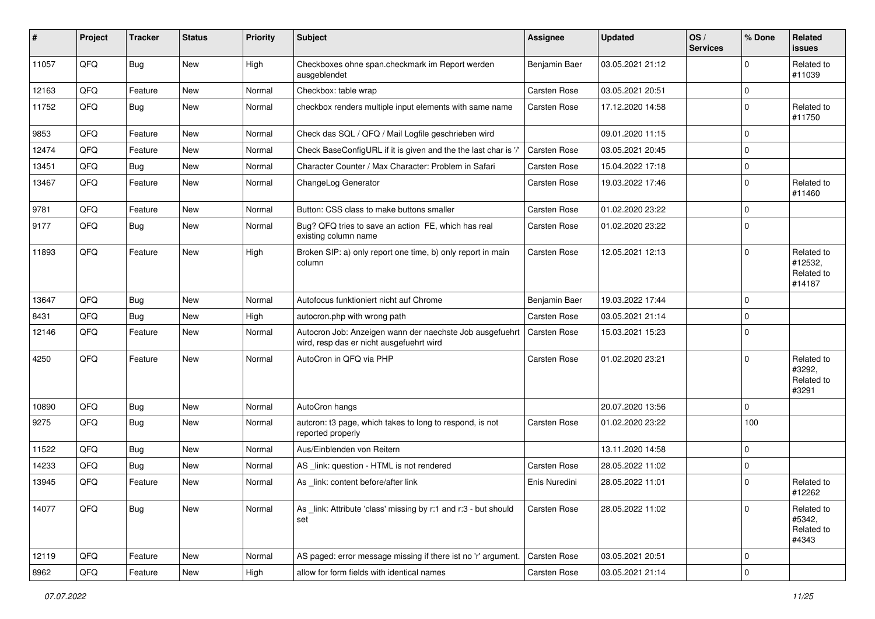| #     | Project | <b>Tracker</b> | <b>Status</b> | <b>Priority</b> | <b>Subject</b>                                                                                       | <b>Assignee</b>     | <b>Updated</b>   | OS/<br><b>Services</b> | % Done      | Related<br><b>issues</b>                      |
|-------|---------|----------------|---------------|-----------------|------------------------------------------------------------------------------------------------------|---------------------|------------------|------------------------|-------------|-----------------------------------------------|
| 11057 | QFQ     | Bug            | New           | High            | Checkboxes ohne span.checkmark im Report werden<br>ausgeblendet                                      | Benjamin Baer       | 03.05.2021 21:12 |                        | $\Omega$    | Related to<br>#11039                          |
| 12163 | QFQ     | Feature        | <b>New</b>    | Normal          | Checkbox: table wrap                                                                                 | <b>Carsten Rose</b> | 03.05.2021 20:51 |                        | $\mathbf 0$ |                                               |
| 11752 | QFQ     | Bug            | New           | Normal          | checkbox renders multiple input elements with same name                                              | <b>Carsten Rose</b> | 17.12.2020 14:58 |                        | $\Omega$    | Related to<br>#11750                          |
| 9853  | QFQ     | Feature        | <b>New</b>    | Normal          | Check das SQL / QFQ / Mail Logfile geschrieben wird                                                  |                     | 09.01.2020 11:15 |                        | $\mathbf 0$ |                                               |
| 12474 | QFQ     | Feature        | <b>New</b>    | Normal          | Check BaseConfigURL if it is given and the the last char is '/'                                      | <b>Carsten Rose</b> | 03.05.2021 20:45 |                        | $\mathbf 0$ |                                               |
| 13451 | QFQ     | Bug            | <b>New</b>    | Normal          | Character Counter / Max Character: Problem in Safari                                                 | <b>Carsten Rose</b> | 15.04.2022 17:18 |                        | $\mathbf 0$ |                                               |
| 13467 | QFQ     | Feature        | <b>New</b>    | Normal          | ChangeLog Generator                                                                                  | <b>Carsten Rose</b> | 19.03.2022 17:46 |                        | $\Omega$    | Related to<br>#11460                          |
| 9781  | QFQ     | Feature        | <b>New</b>    | Normal          | Button: CSS class to make buttons smaller                                                            | <b>Carsten Rose</b> | 01.02.2020 23:22 |                        | $\mathbf 0$ |                                               |
| 9177  | QFQ     | Bug            | New           | Normal          | Bug? QFQ tries to save an action FE, which has real<br>existing column name                          | <b>Carsten Rose</b> | 01.02.2020 23:22 |                        | $\Omega$    |                                               |
| 11893 | QFQ     | Feature        | <b>New</b>    | High            | Broken SIP: a) only report one time, b) only report in main<br>column                                | <b>Carsten Rose</b> | 12.05.2021 12:13 |                        | $\Omega$    | Related to<br>#12532,<br>Related to<br>#14187 |
| 13647 | QFQ     | Bug            | <b>New</b>    | Normal          | Autofocus funktioniert nicht auf Chrome                                                              | Benjamin Baer       | 19.03.2022 17:44 |                        | $\mathbf 0$ |                                               |
| 8431  | QFQ     | Bug            | <b>New</b>    | High            | autocron.php with wrong path                                                                         | <b>Carsten Rose</b> | 03.05.2021 21:14 |                        | $\Omega$    |                                               |
| 12146 | QFQ     | Feature        | <b>New</b>    | Normal          | Autocron Job: Anzeigen wann der naechste Job ausgefuehrt<br>wird, resp das er nicht ausgefuehrt wird | <b>Carsten Rose</b> | 15.03.2021 15:23 |                        | $\Omega$    |                                               |
| 4250  | QFQ     | Feature        | <b>New</b>    | Normal          | AutoCron in QFQ via PHP                                                                              | <b>Carsten Rose</b> | 01.02.2020 23:21 |                        | $\mathbf 0$ | Related to<br>#3292,<br>Related to<br>#3291   |
| 10890 | QFQ     | Bug            | <b>New</b>    | Normal          | AutoCron hangs                                                                                       |                     | 20.07.2020 13:56 |                        | $\mathbf 0$ |                                               |
| 9275  | QFQ     | Bug            | <b>New</b>    | Normal          | autcron: t3 page, which takes to long to respond, is not<br>reported properly                        | Carsten Rose        | 01.02.2020 23:22 |                        | 100         |                                               |
| 11522 | QFQ     | <b>Bug</b>     | <b>New</b>    | Normal          | Aus/Einblenden von Reitern                                                                           |                     | 13.11.2020 14:58 |                        | $\mathbf 0$ |                                               |
| 14233 | QFQ     | <b>Bug</b>     | <b>New</b>    | Normal          | AS _link: question - HTML is not rendered                                                            | Carsten Rose        | 28.05.2022 11:02 |                        | $\mathbf 0$ |                                               |
| 13945 | QFQ     | Feature        | <b>New</b>    | Normal          | As link: content before/after link                                                                   | Enis Nuredini       | 28.05.2022 11:01 |                        | $\Omega$    | Related to<br>#12262                          |
| 14077 | QFQ     | Bug            | New           | Normal          | As link: Attribute 'class' missing by r:1 and r:3 - but should<br>set                                | Carsten Rose        | 28.05.2022 11:02 |                        | $\mathbf 0$ | Related to<br>#5342,<br>Related to<br>#4343   |
| 12119 | QFQ     | Feature        | New           | Normal          | AS paged: error message missing if there ist no 'r' argument.                                        | Carsten Rose        | 03.05.2021 20:51 |                        | $\mathbf 0$ |                                               |
| 8962  | QFG     | Feature        | New           | High            | allow for form fields with identical names                                                           | Carsten Rose        | 03.05.2021 21:14 |                        | $\mathbf 0$ |                                               |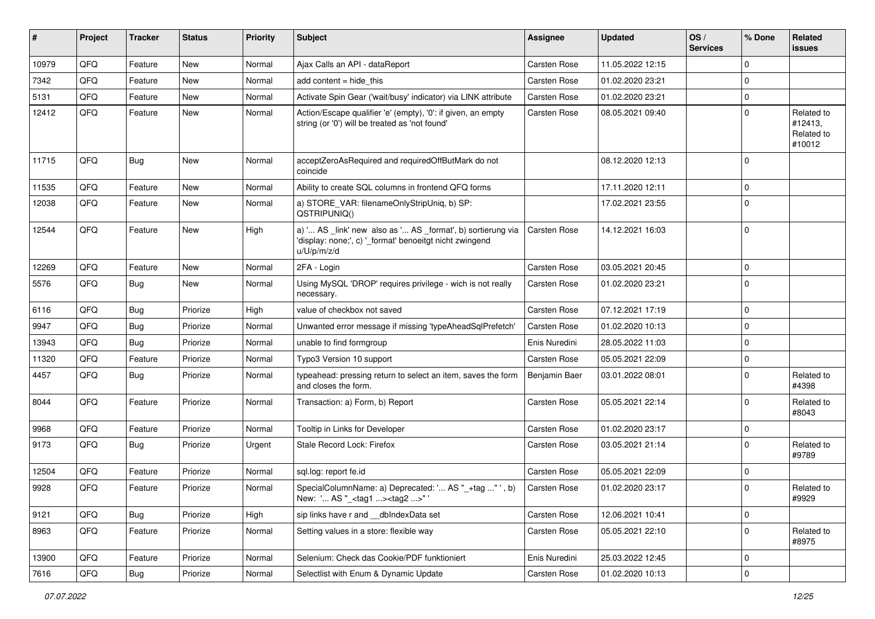| #     | Project | <b>Tracker</b> | <b>Status</b> | <b>Priority</b> | Subject                                                                                                                               | <b>Assignee</b> | <b>Updated</b>   | OS/<br><b>Services</b> | % Done      | Related<br>issues                             |
|-------|---------|----------------|---------------|-----------------|---------------------------------------------------------------------------------------------------------------------------------------|-----------------|------------------|------------------------|-------------|-----------------------------------------------|
| 10979 | QFQ     | Feature        | <b>New</b>    | Normal          | Ajax Calls an API - dataReport                                                                                                        | Carsten Rose    | 11.05.2022 12:15 |                        | $\Omega$    |                                               |
| 7342  | QFQ     | Feature        | <b>New</b>    | Normal          | add content $=$ hide this                                                                                                             | Carsten Rose    | 01.02.2020 23:21 |                        | $\mathbf 0$ |                                               |
| 5131  | QFQ     | Feature        | New           | Normal          | Activate Spin Gear ('wait/busy' indicator) via LINK attribute                                                                         | Carsten Rose    | 01.02.2020 23:21 |                        | 0           |                                               |
| 12412 | QFQ     | Feature        | <b>New</b>    | Normal          | Action/Escape qualifier 'e' (empty), '0': if given, an empty<br>string (or '0') will be treated as 'not found'                        | Carsten Rose    | 08.05.2021 09:40 |                        | $\Omega$    | Related to<br>#12413,<br>Related to<br>#10012 |
| 11715 | QFQ     | Bug            | <b>New</b>    | Normal          | acceptZeroAsRequired and requiredOffButMark do not<br>coincide                                                                        |                 | 08.12.2020 12:13 |                        | $\Omega$    |                                               |
| 11535 | QFQ     | Feature        | <b>New</b>    | Normal          | Ability to create SQL columns in frontend QFQ forms                                                                                   |                 | 17.11.2020 12:11 |                        | 0           |                                               |
| 12038 | QFQ     | Feature        | New           | Normal          | a) STORE_VAR: filenameOnlyStripUniq, b) SP:<br>QSTRIPUNIQ()                                                                           |                 | 17.02.2021 23:55 |                        | $\Omega$    |                                               |
| 12544 | QFQ     | Feature        | <b>New</b>    | High            | a) ' AS _link' new also as ' AS _format', b) sortierung via<br>'display: none;', c) '_format' benoeitgt nicht zwingend<br>u/U/p/m/z/d | Carsten Rose    | 14.12.2021 16:03 |                        | $\Omega$    |                                               |
| 12269 | QFQ     | Feature        | <b>New</b>    | Normal          | 2FA - Login                                                                                                                           | Carsten Rose    | 03.05.2021 20:45 |                        | $\mathbf 0$ |                                               |
| 5576  | QFQ     | Bug            | New           | Normal          | Using MySQL 'DROP' requires privilege - wich is not really<br>necessary.                                                              | Carsten Rose    | 01.02.2020 23:21 |                        | $\Omega$    |                                               |
| 6116  | QFQ     | <b>Bug</b>     | Priorize      | High            | value of checkbox not saved                                                                                                           | Carsten Rose    | 07.12.2021 17:19 |                        | $\mathbf 0$ |                                               |
| 9947  | QFQ     | <b>Bug</b>     | Priorize      | Normal          | Unwanted error message if missing 'typeAheadSqlPrefetch'                                                                              | Carsten Rose    | 01.02.2020 10:13 |                        | $\Omega$    |                                               |
| 13943 | QFQ     | Bug            | Priorize      | Normal          | unable to find formgroup                                                                                                              | Enis Nuredini   | 28.05.2022 11:03 |                        | $\mathbf 0$ |                                               |
| 11320 | QFQ     | Feature        | Priorize      | Normal          | Typo3 Version 10 support                                                                                                              | Carsten Rose    | 05.05.2021 22:09 |                        | $\Omega$    |                                               |
| 4457  | QFQ     | Bug            | Priorize      | Normal          | typeahead: pressing return to select an item, saves the form<br>and closes the form.                                                  | Benjamin Baer   | 03.01.2022 08:01 |                        | $\Omega$    | Related to<br>#4398                           |
| 8044  | QFQ     | Feature        | Priorize      | Normal          | Transaction: a) Form, b) Report                                                                                                       | Carsten Rose    | 05.05.2021 22:14 |                        | $\Omega$    | Related to<br>#8043                           |
| 9968  | QFQ     | Feature        | Priorize      | Normal          | Tooltip in Links for Developer                                                                                                        | Carsten Rose    | 01.02.2020 23:17 |                        | $\mathbf 0$ |                                               |
| 9173  | QFQ     | <b>Bug</b>     | Priorize      | Urgent          | Stale Record Lock: Firefox                                                                                                            | Carsten Rose    | 03.05.2021 21:14 |                        | $\Omega$    | Related to<br>#9789                           |
| 12504 | QFQ     | Feature        | Priorize      | Normal          | sql.log: report fe.id                                                                                                                 | Carsten Rose    | 05.05.2021 22:09 |                        | $\Omega$    |                                               |
| 9928  | QFQ     | Feature        | Priorize      | Normal          | SpecialColumnName: a) Deprecated: ' AS "_+tag " ', b)<br>New: ' AS "_ <tag1><tag2>" '</tag2></tag1>                                   | Carsten Rose    | 01.02.2020 23:17 |                        | $\Omega$    | Related to<br>#9929                           |
| 9121  | QFQ     | <b>Bug</b>     | Priorize      | High            | sip links have r and __dbIndexData set                                                                                                | Carsten Rose    | 12.06.2021 10:41 |                        | 0           |                                               |
| 8963  | QFQ     | Feature        | Priorize      | Normal          | Setting values in a store: flexible way                                                                                               | Carsten Rose    | 05.05.2021 22:10 |                        | $\pmb{0}$   | Related to<br>#8975                           |
| 13900 | QFQ     | Feature        | Priorize      | Normal          | Selenium: Check das Cookie/PDF funktioniert                                                                                           | Enis Nuredini   | 25.03.2022 12:45 |                        | 0           |                                               |
| 7616  | QFQ     | Bug            | Priorize      | Normal          | Selectlist with Enum & Dynamic Update                                                                                                 | Carsten Rose    | 01.02.2020 10:13 |                        | $\pmb{0}$   |                                               |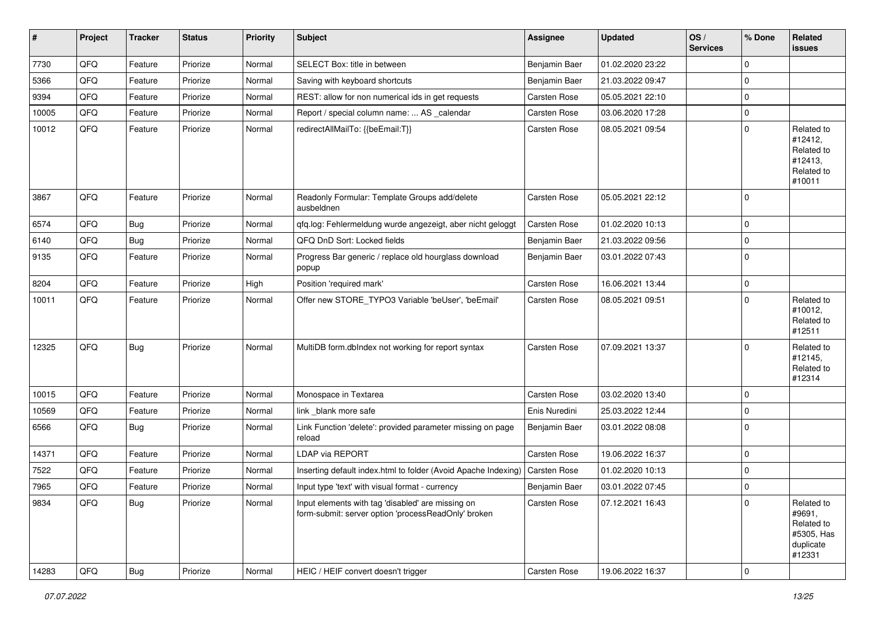| $\vert$ # | Project | <b>Tracker</b> | <b>Status</b> | <b>Priority</b> | <b>Subject</b>                                                                                           | <b>Assignee</b> | <b>Updated</b>   | OS/<br><b>Services</b> | % Done   | Related<br>issues                                                       |
|-----------|---------|----------------|---------------|-----------------|----------------------------------------------------------------------------------------------------------|-----------------|------------------|------------------------|----------|-------------------------------------------------------------------------|
| 7730      | QFQ     | Feature        | Priorize      | Normal          | SELECT Box: title in between                                                                             | Benjamin Baer   | 01.02.2020 23:22 |                        | 0        |                                                                         |
| 5366      | QFQ     | Feature        | Priorize      | Normal          | Saving with keyboard shortcuts                                                                           | Benjamin Baer   | 21.03.2022 09:47 |                        | 0        |                                                                         |
| 9394      | QFQ     | Feature        | Priorize      | Normal          | REST: allow for non numerical ids in get requests                                                        | Carsten Rose    | 05.05.2021 22:10 |                        | $\Omega$ |                                                                         |
| 10005     | QFQ     | Feature        | Priorize      | Normal          | Report / special column name:  AS _calendar                                                              | Carsten Rose    | 03.06.2020 17:28 |                        | 0        |                                                                         |
| 10012     | QFQ     | Feature        | Priorize      | Normal          | redirectAllMailTo: {{beEmail:T}}                                                                         | Carsten Rose    | 08.05.2021 09:54 |                        | 0        | Related to<br>#12412,<br>Related to<br>#12413,<br>Related to<br>#10011  |
| 3867      | QFQ     | Feature        | Priorize      | Normal          | Readonly Formular: Template Groups add/delete<br>ausbeldnen                                              | Carsten Rose    | 05.05.2021 22:12 |                        | 0        |                                                                         |
| 6574      | QFQ     | Bug            | Priorize      | Normal          | qfq.log: Fehlermeldung wurde angezeigt, aber nicht geloggt                                               | Carsten Rose    | 01.02.2020 10:13 |                        | 0        |                                                                         |
| 6140      | QFQ     | <b>Bug</b>     | Priorize      | Normal          | QFQ DnD Sort: Locked fields                                                                              | Benjamin Baer   | 21.03.2022 09:56 |                        | $\Omega$ |                                                                         |
| 9135      | QFQ     | Feature        | Priorize      | Normal          | Progress Bar generic / replace old hourglass download<br>popup                                           | Benjamin Baer   | 03.01.2022 07:43 |                        | 0        |                                                                         |
| 8204      | QFQ     | Feature        | Priorize      | High            | Position 'required mark'                                                                                 | Carsten Rose    | 16.06.2021 13:44 |                        | 0        |                                                                         |
| 10011     | QFQ     | Feature        | Priorize      | Normal          | Offer new STORE_TYPO3 Variable 'beUser', 'beEmail'                                                       | Carsten Rose    | 08.05.2021 09:51 |                        | $\Omega$ | Related to<br>#10012,<br>Related to<br>#12511                           |
| 12325     | QFQ     | <b>Bug</b>     | Priorize      | Normal          | MultiDB form.dbIndex not working for report syntax                                                       | Carsten Rose    | 07.09.2021 13:37 |                        | 0        | Related to<br>#12145,<br>Related to<br>#12314                           |
| 10015     | QFQ     | Feature        | Priorize      | Normal          | Monospace in Textarea                                                                                    | Carsten Rose    | 03.02.2020 13:40 |                        | 0        |                                                                         |
| 10569     | QFQ     | Feature        | Priorize      | Normal          | link _blank more safe                                                                                    | Enis Nuredini   | 25.03.2022 12:44 |                        | 0        |                                                                         |
| 6566      | QFQ     | Bug            | Priorize      | Normal          | Link Function 'delete': provided parameter missing on page<br>reload                                     | Benjamin Baer   | 03.01.2022 08:08 |                        | 0        |                                                                         |
| 14371     | QFQ     | Feature        | Priorize      | Normal          | LDAP via REPORT                                                                                          | Carsten Rose    | 19.06.2022 16:37 |                        | $\Omega$ |                                                                         |
| 7522      | QFQ     | Feature        | Priorize      | Normal          | Inserting default index.html to folder (Avoid Apache Indexing)                                           | Carsten Rose    | 01.02.2020 10:13 |                        | $\Omega$ |                                                                         |
| 7965      | QFQ     | Feature        | Priorize      | Normal          | Input type 'text' with visual format - currency                                                          | Benjamin Baer   | 03.01.2022 07:45 |                        | 0        |                                                                         |
| 9834      | QFQ     | <b>Bug</b>     | Priorize      | Normal          | Input elements with tag 'disabled' are missing on<br>form-submit: server option 'processReadOnly' broken | Carsten Rose    | 07.12.2021 16:43 |                        | 0        | Related to<br>#9691,<br>Related to<br>#5305, Has<br>duplicate<br>#12331 |
| 14283     | QFQ     | Bug            | Priorize      | Normal          | HEIC / HEIF convert doesn't trigger                                                                      | Carsten Rose    | 19.06.2022 16:37 |                        | 0        |                                                                         |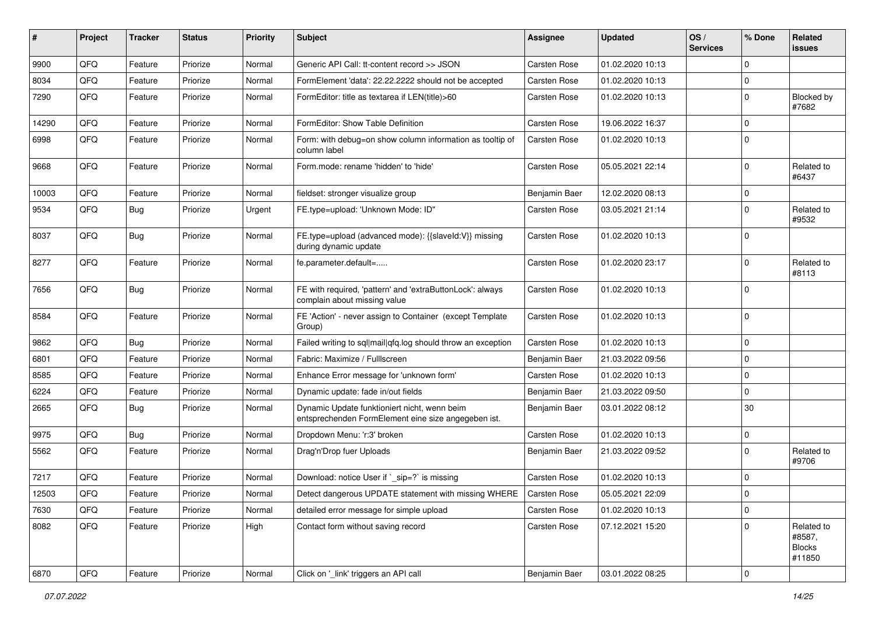| #     | Project | <b>Tracker</b> | <b>Status</b> | <b>Priority</b> | Subject                                                                                             | Assignee            | <b>Updated</b>   | OS/<br><b>Services</b> | % Done      | <b>Related</b><br><b>issues</b>                 |
|-------|---------|----------------|---------------|-----------------|-----------------------------------------------------------------------------------------------------|---------------------|------------------|------------------------|-------------|-------------------------------------------------|
| 9900  | QFQ     | Feature        | Priorize      | Normal          | Generic API Call: tt-content record >> JSON                                                         | <b>Carsten Rose</b> | 01.02.2020 10:13 |                        | $\Omega$    |                                                 |
| 8034  | QFQ     | Feature        | Priorize      | Normal          | FormElement 'data': 22.22.2222 should not be accepted                                               | <b>Carsten Rose</b> | 01.02.2020 10:13 |                        | $\mathbf 0$ |                                                 |
| 7290  | QFQ     | Feature        | Priorize      | Normal          | FormEditor: title as textarea if LEN(title)>60                                                      | <b>Carsten Rose</b> | 01.02.2020 10:13 |                        | $\mathbf 0$ | Blocked by<br>#7682                             |
| 14290 | QFQ     | Feature        | Priorize      | Normal          | FormEditor: Show Table Definition                                                                   | <b>Carsten Rose</b> | 19.06.2022 16:37 |                        | $\Omega$    |                                                 |
| 6998  | QFQ     | Feature        | Priorize      | Normal          | Form: with debug=on show column information as tooltip of<br>column label                           | <b>Carsten Rose</b> | 01.02.2020 10:13 |                        | $\Omega$    |                                                 |
| 9668  | QFQ     | Feature        | Priorize      | Normal          | Form.mode: rename 'hidden' to 'hide'                                                                | <b>Carsten Rose</b> | 05.05.2021 22:14 |                        | $\Omega$    | Related to<br>#6437                             |
| 10003 | QFQ     | Feature        | Priorize      | Normal          | fieldset: stronger visualize group                                                                  | Benjamin Baer       | 12.02.2020 08:13 |                        | 0           |                                                 |
| 9534  | QFQ     | Bug            | Priorize      | Urgent          | FE.type=upload: 'Unknown Mode: ID"                                                                  | <b>Carsten Rose</b> | 03.05.2021 21:14 |                        | $\Omega$    | Related to<br>#9532                             |
| 8037  | QFQ     | Bug            | Priorize      | Normal          | FE.type=upload (advanced mode): {{slaveId:V}} missing<br>during dynamic update                      | <b>Carsten Rose</b> | 01.02.2020 10:13 |                        | $\Omega$    |                                                 |
| 8277  | QFQ     | Feature        | Priorize      | Normal          | fe.parameter.default=                                                                               | <b>Carsten Rose</b> | 01.02.2020 23:17 |                        | $\Omega$    | Related to<br>#8113                             |
| 7656  | QFQ     | Bug            | Priorize      | Normal          | FE with required, 'pattern' and 'extraButtonLock': always<br>complain about missing value           | <b>Carsten Rose</b> | 01.02.2020 10:13 |                        | $\Omega$    |                                                 |
| 8584  | QFQ     | Feature        | Priorize      | Normal          | FE 'Action' - never assign to Container (except Template<br>Group)                                  | <b>Carsten Rose</b> | 01.02.2020 10:13 |                        | $\Omega$    |                                                 |
| 9862  | QFQ     | Bug            | Priorize      | Normal          | Failed writing to sql mail qfq.log should throw an exception                                        | <b>Carsten Rose</b> | 01.02.2020 10:13 |                        | $\mathbf 0$ |                                                 |
| 6801  | QFQ     | Feature        | Priorize      | Normal          | Fabric: Maximize / Fulllscreen                                                                      | Benjamin Baer       | 21.03.2022 09:56 |                        | $\Omega$    |                                                 |
| 8585  | QFQ     | Feature        | Priorize      | Normal          | Enhance Error message for 'unknown form'                                                            | <b>Carsten Rose</b> | 01.02.2020 10:13 |                        | $\mathbf 0$ |                                                 |
| 6224  | QFQ     | Feature        | Priorize      | Normal          | Dynamic update: fade in/out fields                                                                  | Benjamin Baer       | 21.03.2022 09:50 |                        | $\Omega$    |                                                 |
| 2665  | QFQ     | Bug            | Priorize      | Normal          | Dynamic Update funktioniert nicht, wenn beim<br>entsprechenden FormElement eine size angegeben ist. | Benjamin Baer       | 03.01.2022 08:12 |                        | 30          |                                                 |
| 9975  | QFQ     | Bug            | Priorize      | Normal          | Dropdown Menu: 'r:3' broken                                                                         | <b>Carsten Rose</b> | 01.02.2020 10:13 |                        | $\mathbf 0$ |                                                 |
| 5562  | QFQ     | Feature        | Priorize      | Normal          | Drag'n'Drop fuer Uploads                                                                            | Benjamin Baer       | 21.03.2022 09:52 |                        | $\mathbf 0$ | Related to<br>#9706                             |
| 7217  | QFQ     | Feature        | Priorize      | Normal          | Download: notice User if `_sip=?` is missing                                                        | <b>Carsten Rose</b> | 01.02.2020 10:13 |                        | $\Omega$    |                                                 |
| 12503 | QFQ     | Feature        | Priorize      | Normal          | Detect dangerous UPDATE statement with missing WHERE                                                | Carsten Rose        | 05.05.2021 22:09 |                        | 0           |                                                 |
| 7630  | QFQ     | Feature        | Priorize      | Normal          | detailed error message for simple upload                                                            | <b>Carsten Rose</b> | 01.02.2020 10:13 |                        | $\mathbf 0$ |                                                 |
| 8082  | QFQ     | Feature        | Priorize      | High            | Contact form without saving record                                                                  | Carsten Rose        | 07.12.2021 15:20 |                        | $\mathbf 0$ | Related to<br>#8587,<br><b>Blocks</b><br>#11850 |
| 6870  | QFQ     | Feature        | Priorize      | Normal          | Click on '_link' triggers an API call                                                               | Benjamin Baer       | 03.01.2022 08:25 |                        | $\mathbf 0$ |                                                 |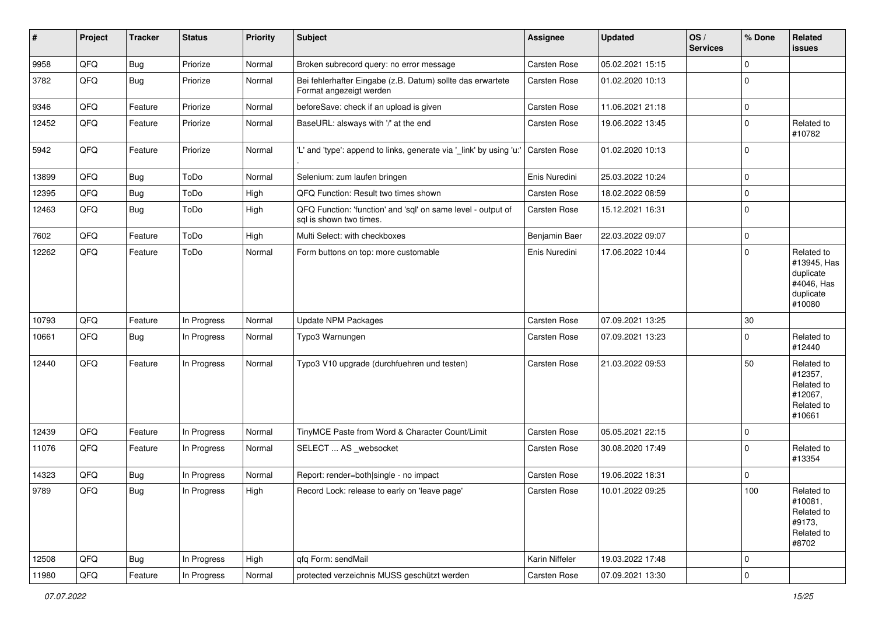| #     | Project        | <b>Tracker</b> | <b>Status</b> | <b>Priority</b> | <b>Subject</b>                                                                          | <b>Assignee</b>     | <b>Updated</b>   | OS/<br><b>Services</b> | % Done      | Related<br>issues                                                           |
|-------|----------------|----------------|---------------|-----------------|-----------------------------------------------------------------------------------------|---------------------|------------------|------------------------|-------------|-----------------------------------------------------------------------------|
| 9958  | QFQ            | Bug            | Priorize      | Normal          | Broken subrecord query: no error message                                                | Carsten Rose        | 05.02.2021 15:15 |                        | $\mathbf 0$ |                                                                             |
| 3782  | QFQ            | Bug            | Priorize      | Normal          | Bei fehlerhafter Eingabe (z.B. Datum) sollte das erwartete<br>Format angezeigt werden   | Carsten Rose        | 01.02.2020 10:13 |                        | $\Omega$    |                                                                             |
| 9346  | QFQ            | Feature        | Priorize      | Normal          | beforeSave: check if an upload is given                                                 | <b>Carsten Rose</b> | 11.06.2021 21:18 |                        | $\mathbf 0$ |                                                                             |
| 12452 | QFQ            | Feature        | Priorize      | Normal          | BaseURL: alsways with '/' at the end                                                    | Carsten Rose        | 19.06.2022 13:45 |                        | $\Omega$    | Related to<br>#10782                                                        |
| 5942  | QFQ            | Feature        | Priorize      | Normal          | 'L' and 'type': append to links, generate via '_link' by using 'u:'                     | Carsten Rose        | 01.02.2020 10:13 |                        | $\Omega$    |                                                                             |
| 13899 | QFQ            | <b>Bug</b>     | ToDo          | Normal          | Selenium: zum laufen bringen                                                            | Enis Nuredini       | 25.03.2022 10:24 |                        | $\Omega$    |                                                                             |
| 12395 | QFQ            | <b>Bug</b>     | ToDo          | High            | QFQ Function: Result two times shown                                                    | <b>Carsten Rose</b> | 18.02.2022 08:59 |                        | $\mathbf 0$ |                                                                             |
| 12463 | QFQ            | Bug            | ToDo          | High            | QFQ Function: 'function' and 'sql' on same level - output of<br>sql is shown two times. | Carsten Rose        | 15.12.2021 16:31 |                        | $\Omega$    |                                                                             |
| 7602  | QFQ            | Feature        | ToDo          | High            | Multi Select: with checkboxes                                                           | Benjamin Baer       | 22.03.2022 09:07 |                        | 0           |                                                                             |
| 12262 | QFQ            | Feature        | ToDo          | Normal          | Form buttons on top: more customable                                                    | Enis Nuredini       | 17.06.2022 10:44 |                        | $\Omega$    | Related to<br>#13945, Has<br>duplicate<br>#4046, Has<br>duplicate<br>#10080 |
| 10793 | QFQ            | Feature        | In Progress   | Normal          | <b>Update NPM Packages</b>                                                              | <b>Carsten Rose</b> | 07.09.2021 13:25 |                        | $30\,$      |                                                                             |
| 10661 | QFQ            | Bug            | In Progress   | Normal          | Typo3 Warnungen                                                                         | Carsten Rose        | 07.09.2021 13:23 |                        | $\Omega$    | Related to<br>#12440                                                        |
| 12440 | QFQ            | Feature        | In Progress   | Normal          | Typo3 V10 upgrade (durchfuehren und testen)                                             | <b>Carsten Rose</b> | 21.03.2022 09:53 |                        | 50          | Related to<br>#12357,<br>Related to<br>#12067,<br>Related to<br>#10661      |
| 12439 | QFQ            | Feature        | In Progress   | Normal          | TinyMCE Paste from Word & Character Count/Limit                                         | Carsten Rose        | 05.05.2021 22:15 |                        | $\Omega$    |                                                                             |
| 11076 | QFQ            | Feature        | In Progress   | Normal          | SELECT  AS _websocket                                                                   | <b>Carsten Rose</b> | 30.08.2020 17:49 |                        | $\Omega$    | Related to<br>#13354                                                        |
| 14323 | QFQ            | Bug            | In Progress   | Normal          | Report: render=both single - no impact                                                  | <b>Carsten Rose</b> | 19.06.2022 18:31 |                        | $\mathbf 0$ |                                                                             |
| 9789  | QFQ            | Bug            | In Progress   | High            | Record Lock: release to early on 'leave page'                                           | Carsten Rose        | 10.01.2022 09:25 |                        | 100         | Related to<br>#10081,<br>Related to<br>#9173,<br>Related to<br>#8702        |
| 12508 | QFO            | Bug            | In Progress   | High            | qfq Form: sendMail                                                                      | Karin Niffeler      | 19.03.2022 17:48 |                        | $\mathbf 0$ |                                                                             |
| 11980 | $\mathsf{QFQ}$ | Feature        | In Progress   | Normal          | protected verzeichnis MUSS geschützt werden                                             | Carsten Rose        | 07.09.2021 13:30 |                        | $\pmb{0}$   |                                                                             |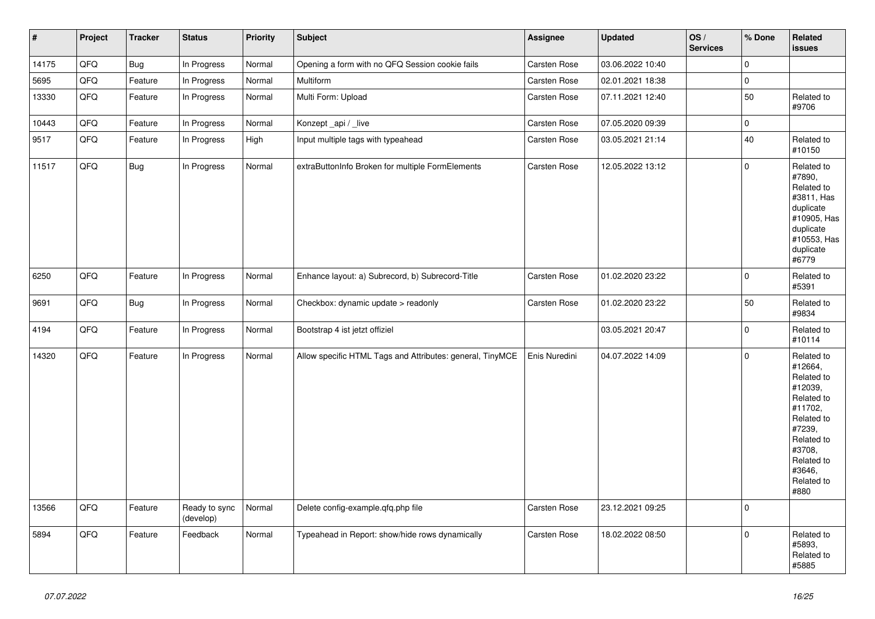| $\vert$ # | Project | <b>Tracker</b> | <b>Status</b>              | <b>Priority</b> | <b>Subject</b>                                            | Assignee      | <b>Updated</b>   | OS/<br><b>Services</b> | % Done       | Related<br><b>issues</b>                                                                                                                                              |
|-----------|---------|----------------|----------------------------|-----------------|-----------------------------------------------------------|---------------|------------------|------------------------|--------------|-----------------------------------------------------------------------------------------------------------------------------------------------------------------------|
| 14175     | QFQ     | Bug            | In Progress                | Normal          | Opening a form with no QFQ Session cookie fails           | Carsten Rose  | 03.06.2022 10:40 |                        | $\mathbf 0$  |                                                                                                                                                                       |
| 5695      | QFQ     | Feature        | In Progress                | Normal          | Multiform                                                 | Carsten Rose  | 02.01.2021 18:38 |                        | $\pmb{0}$    |                                                                                                                                                                       |
| 13330     | QFQ     | Feature        | In Progress                | Normal          | Multi Form: Upload                                        | Carsten Rose  | 07.11.2021 12:40 |                        | 50           | Related to<br>#9706                                                                                                                                                   |
| 10443     | QFQ     | Feature        | In Progress                | Normal          | Konzept_api / _live                                       | Carsten Rose  | 07.05.2020 09:39 |                        | $\mathbf 0$  |                                                                                                                                                                       |
| 9517      | QFQ     | Feature        | In Progress                | High            | Input multiple tags with typeahead                        | Carsten Rose  | 03.05.2021 21:14 |                        | 40           | Related to<br>#10150                                                                                                                                                  |
| 11517     | QFQ     | Bug            | In Progress                | Normal          | extraButtonInfo Broken for multiple FormElements          | Carsten Rose  | 12.05.2022 13:12 |                        | $\mathbf 0$  | Related to<br>#7890,<br>Related to<br>#3811, Has<br>duplicate<br>#10905, Has<br>duplicate<br>#10553, Has<br>duplicate<br>#6779                                        |
| 6250      | QFQ     | Feature        | In Progress                | Normal          | Enhance layout: a) Subrecord, b) Subrecord-Title          | Carsten Rose  | 01.02.2020 23:22 |                        | $\Omega$     | Related to<br>#5391                                                                                                                                                   |
| 9691      | QFQ     | Bug            | In Progress                | Normal          | Checkbox: dynamic update > readonly                       | Carsten Rose  | 01.02.2020 23:22 |                        | 50           | Related to<br>#9834                                                                                                                                                   |
| 4194      | QFQ     | Feature        | In Progress                | Normal          | Bootstrap 4 ist jetzt offiziel                            |               | 03.05.2021 20:47 |                        | 0            | Related to<br>#10114                                                                                                                                                  |
| 14320     | QFQ     | Feature        | In Progress                | Normal          | Allow specific HTML Tags and Attributes: general, TinyMCE | Enis Nuredini | 04.07.2022 14:09 |                        | $\mathbf{0}$ | Related to<br>#12664,<br>Related to<br>#12039,<br>Related to<br>#11702,<br>Related to<br>#7239,<br>Related to<br>#3708,<br>Related to<br>#3646,<br>Related to<br>#880 |
| 13566     | QFQ     | Feature        | Ready to sync<br>(develop) | Normal          | Delete config-example.qfq.php file                        | Carsten Rose  | 23.12.2021 09:25 |                        | $\mathbf 0$  |                                                                                                                                                                       |
| 5894      | QFQ     | Feature        | Feedback                   | Normal          | Typeahead in Report: show/hide rows dynamically           | Carsten Rose  | 18.02.2022 08:50 |                        | $\mathbf 0$  | Related to<br>#5893,<br>Related to<br>#5885                                                                                                                           |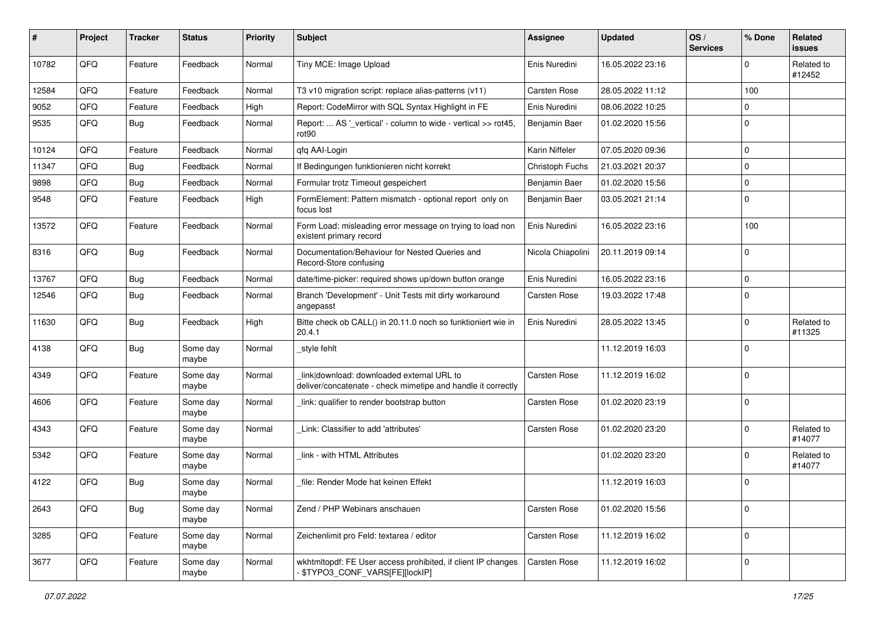| #     | Project | <b>Tracker</b> | <b>Status</b>     | <b>Priority</b> | <b>Subject</b>                                                                                            | Assignee            | <b>Updated</b>   | OS/<br><b>Services</b> | % Done      | <b>Related</b><br><b>issues</b> |
|-------|---------|----------------|-------------------|-----------------|-----------------------------------------------------------------------------------------------------------|---------------------|------------------|------------------------|-------------|---------------------------------|
| 10782 | QFQ     | Feature        | Feedback          | Normal          | Tiny MCE: Image Upload                                                                                    | Enis Nuredini       | 16.05.2022 23:16 |                        | $\Omega$    | Related to<br>#12452            |
| 12584 | QFQ     | Feature        | Feedback          | Normal          | T3 v10 migration script: replace alias-patterns (v11)                                                     | <b>Carsten Rose</b> | 28.05.2022 11:12 |                        | 100         |                                 |
| 9052  | QFQ     | Feature        | Feedback          | High            | Report: CodeMirror with SQL Syntax Highlight in FE                                                        | Enis Nuredini       | 08.06.2022 10:25 |                        | $\Omega$    |                                 |
| 9535  | QFQ     | Bug            | Feedback          | Normal          | Report:  AS '_vertical' - column to wide - vertical >> rot45,<br>rot90                                    | Benjamin Baer       | 01.02.2020 15:56 |                        | $\mathbf 0$ |                                 |
| 10124 | QFQ     | Feature        | Feedback          | Normal          | qfq AAI-Login                                                                                             | Karin Niffeler      | 07.05.2020 09:36 |                        | $\mathbf 0$ |                                 |
| 11347 | QFQ     | <b>Bug</b>     | Feedback          | Normal          | If Bedingungen funktionieren nicht korrekt                                                                | Christoph Fuchs     | 21.03.2021 20:37 |                        | $\mathbf 0$ |                                 |
| 9898  | QFQ     | <b>Bug</b>     | Feedback          | Normal          | Formular trotz Timeout gespeichert                                                                        | Benjamin Baer       | 01.02.2020 15:56 |                        | $\mathbf 0$ |                                 |
| 9548  | QFQ     | Feature        | Feedback          | High            | FormElement: Pattern mismatch - optional report only on<br>focus lost                                     | Benjamin Baer       | 03.05.2021 21:14 |                        | $\mathbf 0$ |                                 |
| 13572 | QFQ     | Feature        | Feedback          | Normal          | Form Load: misleading error message on trying to load non<br>existent primary record                      | Enis Nuredini       | 16.05.2022 23:16 |                        | 100         |                                 |
| 8316  | QFQ     | Bug            | Feedback          | Normal          | Documentation/Behaviour for Nested Queries and<br>Record-Store confusing                                  | Nicola Chiapolini   | 20.11.2019 09:14 |                        | $\mathbf 0$ |                                 |
| 13767 | QFQ     | Bug            | Feedback          | Normal          | date/time-picker: required shows up/down button orange                                                    | Enis Nuredini       | 16.05.2022 23:16 |                        | $\mathbf 0$ |                                 |
| 12546 | QFQ     | Bug            | Feedback          | Normal          | Branch 'Development' - Unit Tests mit dirty workaround<br>angepasst                                       | <b>Carsten Rose</b> | 19.03.2022 17:48 |                        | $\Omega$    |                                 |
| 11630 | QFQ     | <b>Bug</b>     | Feedback          | High            | Bitte check ob CALL() in 20.11.0 noch so funktioniert wie in<br>20.4.1                                    | Enis Nuredini       | 28.05.2022 13:45 |                        | $\Omega$    | Related to<br>#11325            |
| 4138  | QFQ     | <b>Bug</b>     | Some day<br>maybe | Normal          | style fehlt                                                                                               |                     | 11.12.2019 16:03 |                        | $\mathbf 0$ |                                 |
| 4349  | QFQ     | Feature        | Some day<br>maybe | Normal          | link download: downloaded external URL to<br>deliver/concatenate - check mimetipe and handle it correctly | <b>Carsten Rose</b> | 11.12.2019 16:02 |                        | $\mathbf 0$ |                                 |
| 4606  | QFQ     | Feature        | Some day<br>maybe | Normal          | link: qualifier to render bootstrap button                                                                | Carsten Rose        | 01.02.2020 23:19 |                        | $\mathbf 0$ |                                 |
| 4343  | QFQ     | Feature        | Some day<br>maybe | Normal          | Link: Classifier to add 'attributes'                                                                      | Carsten Rose        | 01.02.2020 23:20 |                        | $\mathbf 0$ | Related to<br>#14077            |
| 5342  | QFQ     | Feature        | Some day<br>maybe | Normal          | link - with HTML Attributes                                                                               |                     | 01.02.2020 23:20 |                        | $\Omega$    | Related to<br>#14077            |
| 4122  | QFQ     | <b>Bug</b>     | Some day<br>maybe | Normal          | file: Render Mode hat keinen Effekt                                                                       |                     | 11.12.2019 16:03 |                        | $\mathbf 0$ |                                 |
| 2643  | QFQ     | <b>Bug</b>     | Some day<br>maybe | Normal          | Zend / PHP Webinars anschauen                                                                             | Carsten Rose        | 01.02.2020 15:56 |                        | $\mathbf 0$ |                                 |
| 3285  | QFQ     | Feature        | Some day<br>maybe | Normal          | Zeichenlimit pro Feld: textarea / editor                                                                  | Carsten Rose        | 11.12.2019 16:02 |                        | $\mathbf 0$ |                                 |
| 3677  | QFQ     | Feature        | Some day<br>maybe | Normal          | wkhtmltopdf: FE User access prohibited, if client IP changes<br>\$TYPO3 CONF VARS[FE][lockIP]             | Carsten Rose        | 11.12.2019 16:02 |                        | 0           |                                 |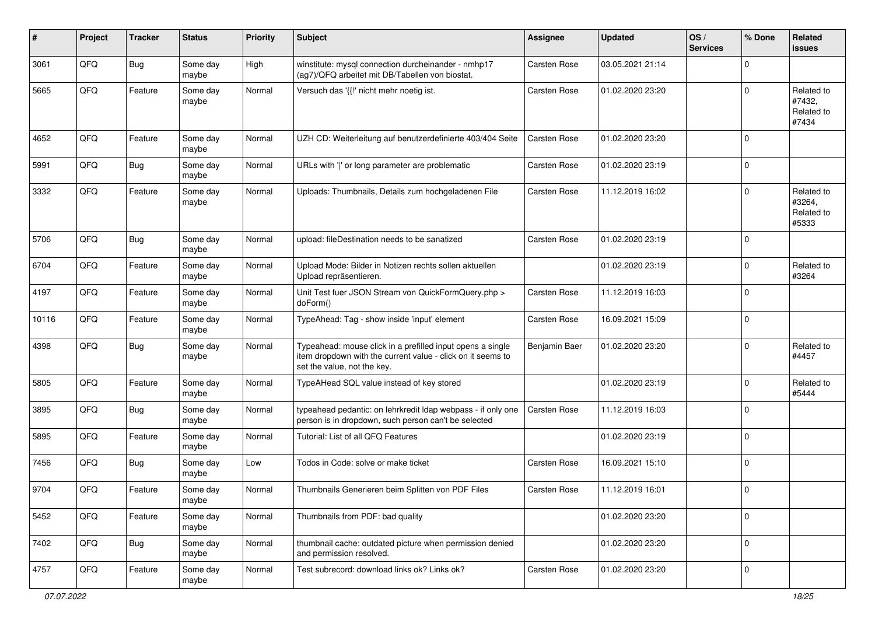| #     | Project | <b>Tracker</b> | <b>Status</b>     | <b>Priority</b> | <b>Subject</b>                                                                                                                                           | <b>Assignee</b>     | <b>Updated</b>   | OS/<br><b>Services</b> | % Done      | Related<br><b>issues</b>                    |
|-------|---------|----------------|-------------------|-----------------|----------------------------------------------------------------------------------------------------------------------------------------------------------|---------------------|------------------|------------------------|-------------|---------------------------------------------|
| 3061  | QFQ     | <b>Bug</b>     | Some day<br>maybe | High            | winstitute: mysql connection durcheinander - nmhp17<br>(ag7)/QFQ arbeitet mit DB/Tabellen von biostat.                                                   | <b>Carsten Rose</b> | 03.05.2021 21:14 |                        | $\mathbf 0$ |                                             |
| 5665  | QFQ     | Feature        | Some day<br>maybe | Normal          | Versuch das '{{!' nicht mehr noetig ist.                                                                                                                 | <b>Carsten Rose</b> | 01.02.2020 23:20 |                        | $\mathbf 0$ | Related to<br>#7432,<br>Related to<br>#7434 |
| 4652  | QFQ     | Feature        | Some day<br>maybe | Normal          | UZH CD: Weiterleitung auf benutzerdefinierte 403/404 Seite                                                                                               | <b>Carsten Rose</b> | 01.02.2020 23:20 |                        | $\mathbf 0$ |                                             |
| 5991  | QFQ     | <b>Bug</b>     | Some day<br>maybe | Normal          | URLs with ' ' or long parameter are problematic                                                                                                          | <b>Carsten Rose</b> | 01.02.2020 23:19 |                        | $\mathbf 0$ |                                             |
| 3332  | QFQ     | Feature        | Some day<br>maybe | Normal          | Uploads: Thumbnails, Details zum hochgeladenen File                                                                                                      | <b>Carsten Rose</b> | 11.12.2019 16:02 |                        | $\mathbf 0$ | Related to<br>#3264,<br>Related to<br>#5333 |
| 5706  | QFQ     | <b>Bug</b>     | Some day<br>maybe | Normal          | upload: fileDestination needs to be sanatized                                                                                                            | <b>Carsten Rose</b> | 01.02.2020 23:19 |                        | $\mathbf 0$ |                                             |
| 6704  | QFQ     | Feature        | Some day<br>maybe | Normal          | Upload Mode: Bilder in Notizen rechts sollen aktuellen<br>Upload repräsentieren.                                                                         |                     | 01.02.2020 23:19 |                        | $\mathbf 0$ | Related to<br>#3264                         |
| 4197  | QFQ     | Feature        | Some day<br>maybe | Normal          | Unit Test fuer JSON Stream von QuickFormQuery.php ><br>doForm()                                                                                          | <b>Carsten Rose</b> | 11.12.2019 16:03 |                        | $\mathbf 0$ |                                             |
| 10116 | QFQ     | Feature        | Some day<br>maybe | Normal          | TypeAhead: Tag - show inside 'input' element                                                                                                             | <b>Carsten Rose</b> | 16.09.2021 15:09 |                        | $\mathbf 0$ |                                             |
| 4398  | QFQ     | <b>Bug</b>     | Some day<br>maybe | Normal          | Typeahead: mouse click in a prefilled input opens a single<br>item dropdown with the current value - click on it seems to<br>set the value, not the key. | Benjamin Baer       | 01.02.2020 23:20 |                        | $\mathbf 0$ | Related to<br>#4457                         |
| 5805  | QFQ     | Feature        | Some day<br>maybe | Normal          | TypeAHead SQL value instead of key stored                                                                                                                |                     | 01.02.2020 23:19 |                        | $\mathbf 0$ | Related to<br>#5444                         |
| 3895  | QFQ     | Bug            | Some day<br>maybe | Normal          | typeahead pedantic: on lehrkredit Idap webpass - if only one<br>person is in dropdown, such person can't be selected                                     | <b>Carsten Rose</b> | 11.12.2019 16:03 |                        | $\mathbf 0$ |                                             |
| 5895  | QFQ     | Feature        | Some day<br>maybe | Normal          | Tutorial: List of all QFQ Features                                                                                                                       |                     | 01.02.2020 23:19 |                        | $\mathbf 0$ |                                             |
| 7456  | QFQ     | Bug            | Some day<br>maybe | Low             | Todos in Code: solve or make ticket                                                                                                                      | <b>Carsten Rose</b> | 16.09.2021 15:10 |                        | $\mathbf 0$ |                                             |
| 9704  | QFQ     | Feature        | Some day<br>maybe | Normal          | Thumbnails Generieren beim Splitten von PDF Files                                                                                                        | <b>Carsten Rose</b> | 11.12.2019 16:01 |                        | $\mathbf 0$ |                                             |
| 5452  | QFO     | Feature        | Some day<br>maybe | Normal          | Thumbnails from PDF: bad quality                                                                                                                         |                     | 01.02.2020 23:20 |                        | $\mathbf 0$ |                                             |
| 7402  | QFQ     | <b>Bug</b>     | Some day<br>maybe | Normal          | thumbnail cache: outdated picture when permission denied<br>and permission resolved.                                                                     |                     | 01.02.2020 23:20 |                        | $\mathbf 0$ |                                             |
| 4757  | QFO     | Feature        | Some day<br>maybe | Normal          | Test subrecord: download links ok? Links ok?                                                                                                             | Carsten Rose        | 01.02.2020 23:20 |                        | $\pmb{0}$   |                                             |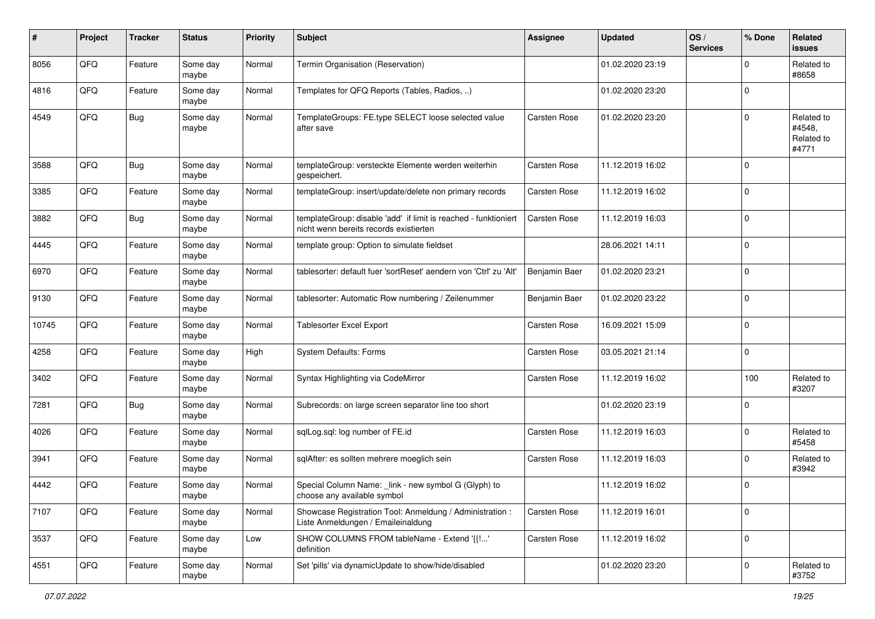| $\pmb{\#}$ | Project | <b>Tracker</b> | <b>Status</b>     | <b>Priority</b> | <b>Subject</b>                                                                                            | <b>Assignee</b>     | <b>Updated</b>   | OS/<br><b>Services</b> | % Done      | Related<br><b>issues</b>                    |
|------------|---------|----------------|-------------------|-----------------|-----------------------------------------------------------------------------------------------------------|---------------------|------------------|------------------------|-------------|---------------------------------------------|
| 8056       | QFQ     | Feature        | Some day<br>maybe | Normal          | Termin Organisation (Reservation)                                                                         |                     | 01.02.2020 23:19 |                        | $\mathbf 0$ | Related to<br>#8658                         |
| 4816       | QFQ     | Feature        | Some day<br>maybe | Normal          | Templates for QFQ Reports (Tables, Radios, )                                                              |                     | 01.02.2020 23:20 |                        | $\mathbf 0$ |                                             |
| 4549       | QFQ     | Bug            | Some day<br>maybe | Normal          | TemplateGroups: FE.type SELECT loose selected value<br>after save                                         | Carsten Rose        | 01.02.2020 23:20 |                        | $\mathbf 0$ | Related to<br>#4548,<br>Related to<br>#4771 |
| 3588       | QFQ     | Bug            | Some day<br>maybe | Normal          | templateGroup: versteckte Elemente werden weiterhin<br>gespeichert.                                       | <b>Carsten Rose</b> | 11.12.2019 16:02 |                        | $\mathbf 0$ |                                             |
| 3385       | QFQ     | Feature        | Some day<br>maybe | Normal          | templateGroup: insert/update/delete non primary records                                                   | Carsten Rose        | 11.12.2019 16:02 |                        | $\mathbf 0$ |                                             |
| 3882       | QFQ     | Bug            | Some day<br>maybe | Normal          | templateGroup: disable 'add' if limit is reached - funktioniert<br>nicht wenn bereits records existierten | Carsten Rose        | 11.12.2019 16:03 |                        | $\mathbf 0$ |                                             |
| 4445       | QFQ     | Feature        | Some day<br>maybe | Normal          | template group: Option to simulate fieldset                                                               |                     | 28.06.2021 14:11 |                        | $\mathbf 0$ |                                             |
| 6970       | QFQ     | Feature        | Some day<br>maybe | Normal          | tablesorter: default fuer 'sortReset' aendern von 'Ctrl' zu 'Alt'                                         | Benjamin Baer       | 01.02.2020 23:21 |                        | $\mathbf 0$ |                                             |
| 9130       | QFQ     | Feature        | Some day<br>maybe | Normal          | tablesorter: Automatic Row numbering / Zeilenummer                                                        | Benjamin Baer       | 01.02.2020 23:22 |                        | $\mathbf 0$ |                                             |
| 10745      | QFQ     | Feature        | Some day<br>maybe | Normal          | Tablesorter Excel Export                                                                                  | Carsten Rose        | 16.09.2021 15:09 |                        | $\mathbf 0$ |                                             |
| 4258       | QFQ     | Feature        | Some day<br>maybe | High            | System Defaults: Forms                                                                                    | <b>Carsten Rose</b> | 03.05.2021 21:14 |                        | $\mathbf 0$ |                                             |
| 3402       | QFQ     | Feature        | Some day<br>maybe | Normal          | Syntax Highlighting via CodeMirror                                                                        | <b>Carsten Rose</b> | 11.12.2019 16:02 |                        | 100         | Related to<br>#3207                         |
| 7281       | QFQ     | <b>Bug</b>     | Some day<br>maybe | Normal          | Subrecords: on large screen separator line too short                                                      |                     | 01.02.2020 23:19 |                        | $\mathbf 0$ |                                             |
| 4026       | QFQ     | Feature        | Some day<br>maybe | Normal          | sqlLog.sql: log number of FE.id                                                                           | <b>Carsten Rose</b> | 11.12.2019 16:03 |                        | $\mathbf 0$ | Related to<br>#5458                         |
| 3941       | QFQ     | Feature        | Some day<br>maybe | Normal          | sqlAfter: es sollten mehrere moeglich sein                                                                | <b>Carsten Rose</b> | 11.12.2019 16:03 |                        | $\mathbf 0$ | Related to<br>#3942                         |
| 4442       | QFQ     | Feature        | Some day<br>maybe | Normal          | Special Column Name: _link - new symbol G (Glyph) to<br>choose any available symbol                       |                     | 11.12.2019 16:02 |                        | $\mathbf 0$ |                                             |
| 7107       | QFQ     | Feature        | Some day<br>maybe | Normal          | Showcase Registration Tool: Anmeldung / Administration :<br>Liste Anmeldungen / Emaileinaldung            | Carsten Rose        | 11.12.2019 16:01 |                        | $\mathbf 0$ |                                             |
| 3537       | QFO     | Feature        | Some day<br>maybe | Low             | SHOW COLUMNS FROM tableName - Extend '{{!'<br>definition                                                  | Carsten Rose        | 11.12.2019 16:02 |                        | $\mathbf 0$ |                                             |
| 4551       | QFO     | Feature        | Some day<br>maybe | Normal          | Set 'pills' via dynamicUpdate to show/hide/disabled                                                       |                     | 01.02.2020 23:20 |                        | $\pmb{0}$   | Related to<br>#3752                         |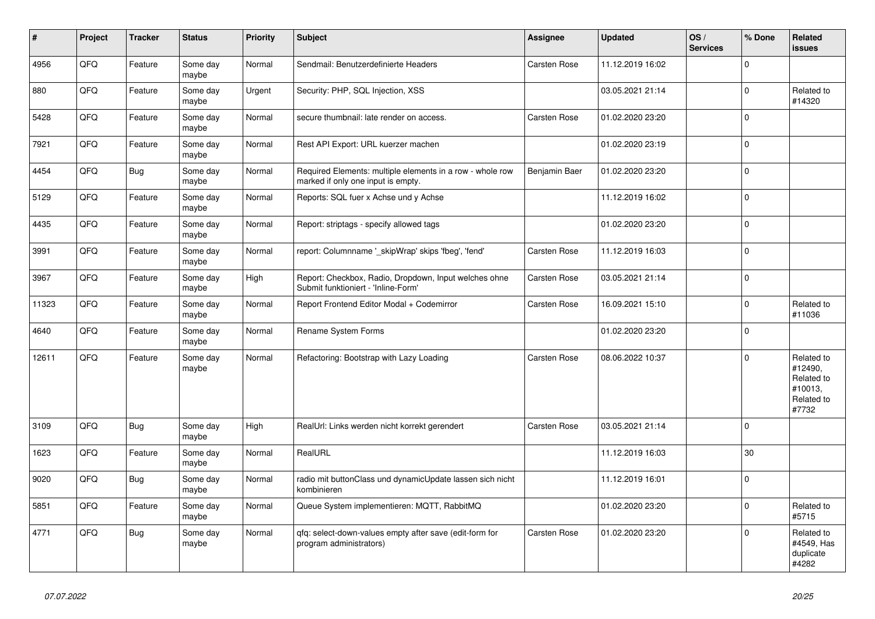| #     | Project | <b>Tracker</b> | <b>Status</b>     | <b>Priority</b> | <b>Subject</b>                                                                                  | Assignee            | <b>Updated</b>   | OS/<br><b>Services</b> | % Done      | Related<br><b>issues</b>                                              |
|-------|---------|----------------|-------------------|-----------------|-------------------------------------------------------------------------------------------------|---------------------|------------------|------------------------|-------------|-----------------------------------------------------------------------|
| 4956  | QFQ     | Feature        | Some day<br>maybe | Normal          | Sendmail: Benutzerdefinierte Headers                                                            | Carsten Rose        | 11.12.2019 16:02 |                        | $\mathbf 0$ |                                                                       |
| 880   | QFQ     | Feature        | Some day<br>maybe | Urgent          | Security: PHP, SQL Injection, XSS                                                               |                     | 03.05.2021 21:14 |                        | $\mathbf 0$ | Related to<br>#14320                                                  |
| 5428  | QFQ     | Feature        | Some day<br>maybe | Normal          | secure thumbnail: late render on access.                                                        | Carsten Rose        | 01.02.2020 23:20 |                        | $\Omega$    |                                                                       |
| 7921  | QFQ     | Feature        | Some day<br>maybe | Normal          | Rest API Export: URL kuerzer machen                                                             |                     | 01.02.2020 23:19 |                        | $\Omega$    |                                                                       |
| 4454  | QFQ     | <b>Bug</b>     | Some day<br>maybe | Normal          | Required Elements: multiple elements in a row - whole row<br>marked if only one input is empty. | Benjamin Baer       | 01.02.2020 23:20 |                        | $\mathbf 0$ |                                                                       |
| 5129  | QFQ     | Feature        | Some day<br>maybe | Normal          | Reports: SQL fuer x Achse und y Achse                                                           |                     | 11.12.2019 16:02 |                        | $\mathbf 0$ |                                                                       |
| 4435  | QFQ     | Feature        | Some day<br>maybe | Normal          | Report: striptags - specify allowed tags                                                        |                     | 01.02.2020 23:20 |                        | $\Omega$    |                                                                       |
| 3991  | QFQ     | Feature        | Some day<br>maybe | Normal          | report: Columnname ' skipWrap' skips 'fbeg', 'fend'                                             | <b>Carsten Rose</b> | 11.12.2019 16:03 |                        | $\mathbf 0$ |                                                                       |
| 3967  | QFQ     | Feature        | Some day<br>maybe | High            | Report: Checkbox, Radio, Dropdown, Input welches ohne<br>Submit funktioniert - 'Inline-Form'    | Carsten Rose        | 03.05.2021 21:14 |                        | $\mathbf 0$ |                                                                       |
| 11323 | QFQ     | Feature        | Some day<br>maybe | Normal          | Report Frontend Editor Modal + Codemirror                                                       | <b>Carsten Rose</b> | 16.09.2021 15:10 |                        | $\mathbf 0$ | Related to<br>#11036                                                  |
| 4640  | QFQ     | Feature        | Some day<br>maybe | Normal          | Rename System Forms                                                                             |                     | 01.02.2020 23:20 |                        | $\mathbf 0$ |                                                                       |
| 12611 | QFQ     | Feature        | Some day<br>maybe | Normal          | Refactoring: Bootstrap with Lazy Loading                                                        | Carsten Rose        | 08.06.2022 10:37 |                        | $\Omega$    | Related to<br>#12490,<br>Related to<br>#10013,<br>Related to<br>#7732 |
| 3109  | QFQ     | <b>Bug</b>     | Some day<br>maybe | High            | RealUrl: Links werden nicht korrekt gerendert                                                   | <b>Carsten Rose</b> | 03.05.2021 21:14 |                        | $\mathbf 0$ |                                                                       |
| 1623  | QFQ     | Feature        | Some day<br>maybe | Normal          | RealURL                                                                                         |                     | 11.12.2019 16:03 |                        | 30          |                                                                       |
| 9020  | QFQ     | <b>Bug</b>     | Some day<br>maybe | Normal          | radio mit buttonClass und dynamicUpdate lassen sich nicht<br>kombinieren                        |                     | 11.12.2019 16:01 |                        | $\Omega$    |                                                                       |
| 5851  | QFQ     | Feature        | Some day<br>maybe | Normal          | Queue System implementieren: MQTT, RabbitMQ                                                     |                     | 01.02.2020 23:20 |                        | $\mathbf 0$ | Related to<br>#5715                                                   |
| 4771  | QFQ     | <b>Bug</b>     | Some day<br>maybe | Normal          | qfq: select-down-values empty after save (edit-form for<br>program administrators)              | <b>Carsten Rose</b> | 01.02.2020 23:20 |                        | $\Omega$    | Related to<br>#4549, Has<br>duplicate<br>#4282                        |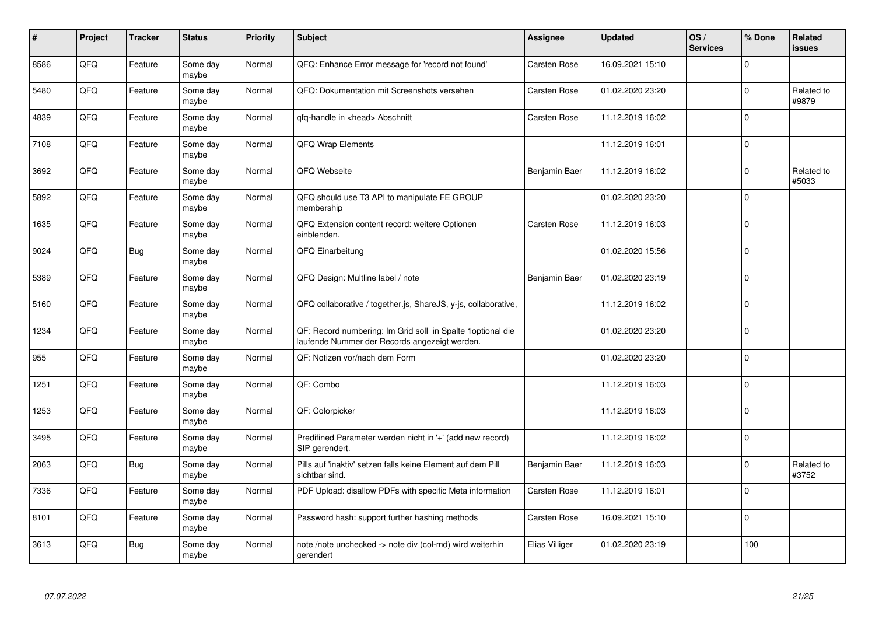| #    | Project | <b>Tracker</b> | <b>Status</b>     | <b>Priority</b> | <b>Subject</b>                                                                                              | Assignee            | <b>Updated</b>   | OS/<br><b>Services</b> | % Done      | <b>Related</b><br><b>issues</b> |
|------|---------|----------------|-------------------|-----------------|-------------------------------------------------------------------------------------------------------------|---------------------|------------------|------------------------|-------------|---------------------------------|
| 8586 | QFQ     | Feature        | Some day<br>maybe | Normal          | QFQ: Enhance Error message for 'record not found'                                                           | <b>Carsten Rose</b> | 16.09.2021 15:10 |                        | $\Omega$    |                                 |
| 5480 | QFQ     | Feature        | Some day<br>maybe | Normal          | QFQ: Dokumentation mit Screenshots versehen                                                                 | <b>Carsten Rose</b> | 01.02.2020 23:20 |                        | $\mathbf 0$ | Related to<br>#9879             |
| 4839 | QFQ     | Feature        | Some day<br>maybe | Normal          | qfq-handle in <head> Abschnitt</head>                                                                       | <b>Carsten Rose</b> | 11.12.2019 16:02 |                        | $\mathbf 0$ |                                 |
| 7108 | QFQ     | Feature        | Some day<br>maybe | Normal          | <b>QFQ Wrap Elements</b>                                                                                    |                     | 11.12.2019 16:01 |                        | $\mathbf 0$ |                                 |
| 3692 | QFQ     | Feature        | Some day<br>maybe | Normal          | QFQ Webseite                                                                                                | Benjamin Baer       | 11.12.2019 16:02 |                        | $\mathbf 0$ | Related to<br>#5033             |
| 5892 | QFQ     | Feature        | Some day<br>maybe | Normal          | QFQ should use T3 API to manipulate FE GROUP<br>membership                                                  |                     | 01.02.2020 23:20 |                        | $\mathbf 0$ |                                 |
| 1635 | QFQ     | Feature        | Some day<br>maybe | Normal          | QFQ Extension content record: weitere Optionen<br>einblenden.                                               | <b>Carsten Rose</b> | 11.12.2019 16:03 |                        | $\mathbf 0$ |                                 |
| 9024 | QFQ     | Bug            | Some day<br>maybe | Normal          | QFQ Einarbeitung                                                                                            |                     | 01.02.2020 15:56 |                        | $\mathbf 0$ |                                 |
| 5389 | QFQ     | Feature        | Some day<br>maybe | Normal          | QFQ Design: Multline label / note                                                                           | Benjamin Baer       | 01.02.2020 23:19 |                        | $\mathbf 0$ |                                 |
| 5160 | QFQ     | Feature        | Some day<br>maybe | Normal          | QFQ collaborative / together.js, ShareJS, y-js, collaborative,                                              |                     | 11.12.2019 16:02 |                        | $\mathbf 0$ |                                 |
| 1234 | QFQ     | Feature        | Some day<br>maybe | Normal          | QF: Record numbering: Im Grid soll in Spalte 1optional die<br>laufende Nummer der Records angezeigt werden. |                     | 01.02.2020 23:20 |                        | $\Omega$    |                                 |
| 955  | QFQ     | Feature        | Some day<br>maybe | Normal          | QF: Notizen vor/nach dem Form                                                                               |                     | 01.02.2020 23:20 |                        | $\mathbf 0$ |                                 |
| 1251 | QFQ     | Feature        | Some day<br>maybe | Normal          | QF: Combo                                                                                                   |                     | 11.12.2019 16:03 |                        | $\mathbf 0$ |                                 |
| 1253 | QFQ     | Feature        | Some day<br>maybe | Normal          | QF: Colorpicker                                                                                             |                     | 11.12.2019 16:03 |                        | $\mathbf 0$ |                                 |
| 3495 | QFQ     | Feature        | Some day<br>maybe | Normal          | Predifined Parameter werden nicht in '+' (add new record)<br>SIP gerendert.                                 |                     | 11.12.2019 16:02 |                        | $\Omega$    |                                 |
| 2063 | QFQ     | <b>Bug</b>     | Some day<br>maybe | Normal          | Pills auf 'inaktiv' setzen falls keine Element auf dem Pill<br>sichtbar sind.                               | Benjamin Baer       | 11.12.2019 16:03 |                        | $\Omega$    | Related to<br>#3752             |
| 7336 | QFQ     | Feature        | Some day<br>maybe | Normal          | PDF Upload: disallow PDFs with specific Meta information                                                    | Carsten Rose        | 11.12.2019 16:01 |                        | $\mathbf 0$ |                                 |
| 8101 | QFQ     | Feature        | Some day<br>maybe | Normal          | Password hash: support further hashing methods                                                              | Carsten Rose        | 16.09.2021 15:10 |                        | $\mathbf 0$ |                                 |
| 3613 | QFQ     | <b>Bug</b>     | Some day<br>maybe | Normal          | note /note unchecked -> note div (col-md) wird weiterhin<br>gerendert                                       | Elias Villiger      | 01.02.2020 23:19 |                        | 100         |                                 |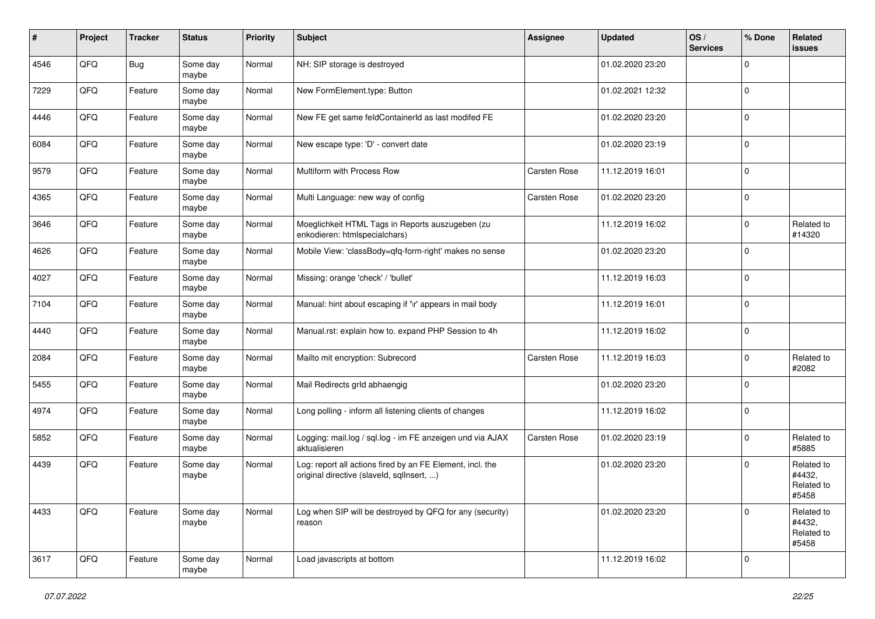| ∦    | Project | <b>Tracker</b> | <b>Status</b>     | <b>Priority</b> | <b>Subject</b>                                                                                         | <b>Assignee</b>     | <b>Updated</b>   | OS/<br><b>Services</b> | % Done      | Related<br>issues                           |
|------|---------|----------------|-------------------|-----------------|--------------------------------------------------------------------------------------------------------|---------------------|------------------|------------------------|-------------|---------------------------------------------|
| 4546 | QFQ     | <b>Bug</b>     | Some day<br>maybe | Normal          | NH: SIP storage is destroyed                                                                           |                     | 01.02.2020 23:20 |                        | $\Omega$    |                                             |
| 7229 | QFQ     | Feature        | Some day<br>maybe | Normal          | New FormElement.type: Button                                                                           |                     | 01.02.2021 12:32 |                        | $\Omega$    |                                             |
| 4446 | QFQ     | Feature        | Some day<br>maybe | Normal          | New FE get same feldContainerId as last modifed FE                                                     |                     | 01.02.2020 23:20 |                        | $\Omega$    |                                             |
| 6084 | QFQ     | Feature        | Some day<br>maybe | Normal          | New escape type: 'D' - convert date                                                                    |                     | 01.02.2020 23:19 |                        | $\mathbf 0$ |                                             |
| 9579 | QFQ     | Feature        | Some day<br>maybe | Normal          | Multiform with Process Row                                                                             | <b>Carsten Rose</b> | 11.12.2019 16:01 |                        | $\Omega$    |                                             |
| 4365 | QFQ     | Feature        | Some day<br>maybe | Normal          | Multi Language: new way of config                                                                      | Carsten Rose        | 01.02.2020 23:20 |                        | $\Omega$    |                                             |
| 3646 | QFQ     | Feature        | Some day<br>maybe | Normal          | Moeglichkeit HTML Tags in Reports auszugeben (zu<br>enkodieren: htmlspecialchars)                      |                     | 11.12.2019 16:02 |                        | $\Omega$    | Related to<br>#14320                        |
| 4626 | QFQ     | Feature        | Some day<br>maybe | Normal          | Mobile View: 'classBody=qfq-form-right' makes no sense                                                 |                     | 01.02.2020 23:20 |                        | $\Omega$    |                                             |
| 4027 | QFQ     | Feature        | Some day<br>maybe | Normal          | Missing: orange 'check' / 'bullet'                                                                     |                     | 11.12.2019 16:03 |                        | $\mathbf 0$ |                                             |
| 7104 | QFQ     | Feature        | Some day<br>maybe | Normal          | Manual: hint about escaping if '\r' appears in mail body                                               |                     | 11.12.2019 16:01 |                        | $\Omega$    |                                             |
| 4440 | QFQ     | Feature        | Some day<br>maybe | Normal          | Manual.rst: explain how to. expand PHP Session to 4h                                                   |                     | 11.12.2019 16:02 |                        | $\mathbf 0$ |                                             |
| 2084 | QFQ     | Feature        | Some day<br>maybe | Normal          | Mailto mit encryption: Subrecord                                                                       | <b>Carsten Rose</b> | 11.12.2019 16:03 |                        | $\mathbf 0$ | Related to<br>#2082                         |
| 5455 | QFQ     | Feature        | Some day<br>maybe | Normal          | Mail Redirects grld abhaengig                                                                          |                     | 01.02.2020 23:20 |                        | $\Omega$    |                                             |
| 4974 | QFQ     | Feature        | Some day<br>maybe | Normal          | Long polling - inform all listening clients of changes                                                 |                     | 11.12.2019 16:02 |                        | $\Omega$    |                                             |
| 5852 | QFQ     | Feature        | Some day<br>maybe | Normal          | Logging: mail.log / sql.log - im FE anzeigen und via AJAX<br>aktualisieren                             | <b>Carsten Rose</b> | 01.02.2020 23:19 |                        | $\Omega$    | Related to<br>#5885                         |
| 4439 | QFQ     | Feature        | Some day<br>maybe | Normal          | Log: report all actions fired by an FE Element, incl. the<br>original directive (slaveld, sqllnsert, ) |                     | 01.02.2020 23:20 |                        | $\mathbf 0$ | Related to<br>#4432,<br>Related to<br>#5458 |
| 4433 | QFO     | Feature        | Some day<br>maybe | Normal          | Log when SIP will be destroyed by QFQ for any (security)<br>reason                                     |                     | 01.02.2020 23:20 |                        | $\Omega$    | Related to<br>#4432,<br>Related to<br>#5458 |
| 3617 | QFO     | Feature        | Some day<br>maybe | Normal          | Load javascripts at bottom                                                                             |                     | 11.12.2019 16:02 |                        | $\mathbf 0$ |                                             |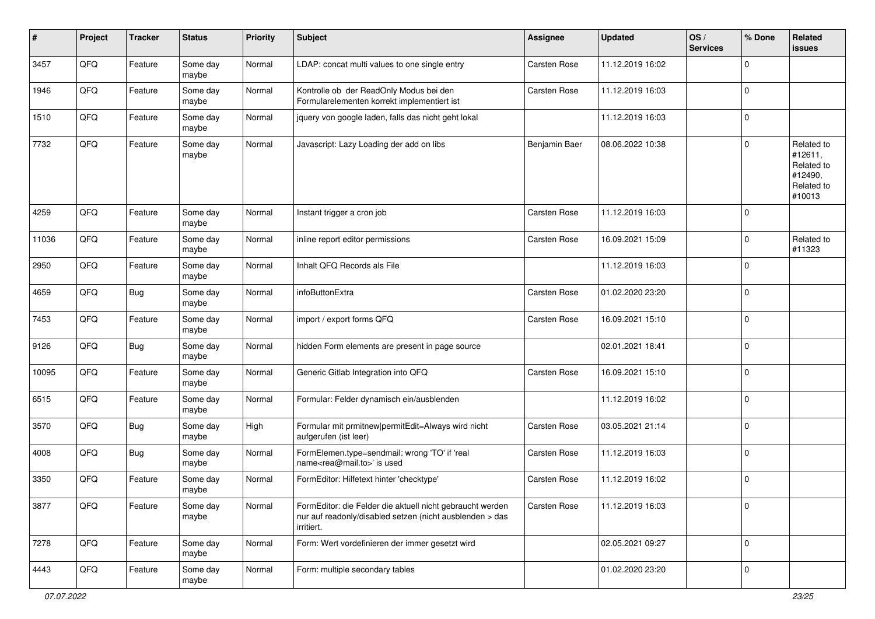| $\vert$ # | Project | <b>Tracker</b> | <b>Status</b>     | <b>Priority</b> | <b>Subject</b>                                                                                                                      | <b>Assignee</b> | <b>Updated</b>   | OS/<br><b>Services</b> | % Done      | Related<br><b>issues</b>                                               |
|-----------|---------|----------------|-------------------|-----------------|-------------------------------------------------------------------------------------------------------------------------------------|-----------------|------------------|------------------------|-------------|------------------------------------------------------------------------|
| 3457      | QFQ     | Feature        | Some day<br>maybe | Normal          | LDAP: concat multi values to one single entry                                                                                       | Carsten Rose    | 11.12.2019 16:02 |                        | 0           |                                                                        |
| 1946      | QFQ     | Feature        | Some day<br>maybe | Normal          | Kontrolle ob der ReadOnly Modus bei den<br>Formularelementen korrekt implementiert ist                                              | Carsten Rose    | 11.12.2019 16:03 |                        | $\mathbf 0$ |                                                                        |
| 1510      | QFQ     | Feature        | Some day<br>maybe | Normal          | jquery von google laden, falls das nicht geht lokal                                                                                 |                 | 11.12.2019 16:03 |                        | 0           |                                                                        |
| 7732      | QFQ     | Feature        | Some day<br>maybe | Normal          | Javascript: Lazy Loading der add on libs                                                                                            | Benjamin Baer   | 08.06.2022 10:38 |                        | 0           | Related to<br>#12611,<br>Related to<br>#12490,<br>Related to<br>#10013 |
| 4259      | QFQ     | Feature        | Some day<br>maybe | Normal          | Instant trigger a cron job                                                                                                          | Carsten Rose    | 11.12.2019 16:03 |                        | $\mathbf 0$ |                                                                        |
| 11036     | QFQ     | Feature        | Some day<br>maybe | Normal          | inline report editor permissions                                                                                                    | Carsten Rose    | 16.09.2021 15:09 |                        | $\mathbf 0$ | Related to<br>#11323                                                   |
| 2950      | QFQ     | Feature        | Some day<br>maybe | Normal          | Inhalt QFQ Records als File                                                                                                         |                 | 11.12.2019 16:03 |                        | 0           |                                                                        |
| 4659      | QFQ     | <b>Bug</b>     | Some day<br>maybe | Normal          | infoButtonExtra                                                                                                                     | Carsten Rose    | 01.02.2020 23:20 |                        | $\mathbf 0$ |                                                                        |
| 7453      | QFQ     | Feature        | Some day<br>maybe | Normal          | import / export forms QFQ                                                                                                           | Carsten Rose    | 16.09.2021 15:10 |                        | 0           |                                                                        |
| 9126      | QFQ     | Bug            | Some day<br>maybe | Normal          | hidden Form elements are present in page source                                                                                     |                 | 02.01.2021 18:41 |                        | $\mathbf 0$ |                                                                        |
| 10095     | QFQ     | Feature        | Some day<br>maybe | Normal          | Generic Gitlab Integration into QFQ                                                                                                 | Carsten Rose    | 16.09.2021 15:10 |                        | 0           |                                                                        |
| 6515      | QFQ     | Feature        | Some day<br>maybe | Normal          | Formular: Felder dynamisch ein/ausblenden                                                                                           |                 | 11.12.2019 16:02 |                        | $\pmb{0}$   |                                                                        |
| 3570      | QFQ     | <b>Bug</b>     | Some day<br>maybe | High            | Formular mit prmitnew permitEdit=Always wird nicht<br>aufgerufen (ist leer)                                                         | Carsten Rose    | 03.05.2021 21:14 |                        | $\mathbf 0$ |                                                                        |
| 4008      | QFQ     | <b>Bug</b>     | Some day<br>maybe | Normal          | FormElemen.type=sendmail: wrong 'TO' if 'real<br>name <rea@mail.to>' is used</rea@mail.to>                                          | Carsten Rose    | 11.12.2019 16:03 |                        | $\mathbf 0$ |                                                                        |
| 3350      | QFQ     | Feature        | Some day<br>maybe | Normal          | FormEditor: Hilfetext hinter 'checktype'                                                                                            | Carsten Rose    | 11.12.2019 16:02 |                        | $\mathbf 0$ |                                                                        |
| 3877      | QFQ     | Feature        | Some day<br>maybe | Normal          | FormEditor: die Felder die aktuell nicht gebraucht werden<br>nur auf readonly/disabled setzen (nicht ausblenden > das<br>irritiert. | Carsten Rose    | 11.12.2019 16:03 |                        | $\pmb{0}$   |                                                                        |
| 7278      | QFG     | Feature        | Some day<br>maybe | Normal          | Form: Wert vordefinieren der immer gesetzt wird                                                                                     |                 | 02.05.2021 09:27 |                        | $\mathbf 0$ |                                                                        |
| 4443      | QFO     | Feature        | Some day<br>maybe | Normal          | Form: multiple secondary tables                                                                                                     |                 | 01.02.2020 23:20 |                        | $\pmb{0}$   |                                                                        |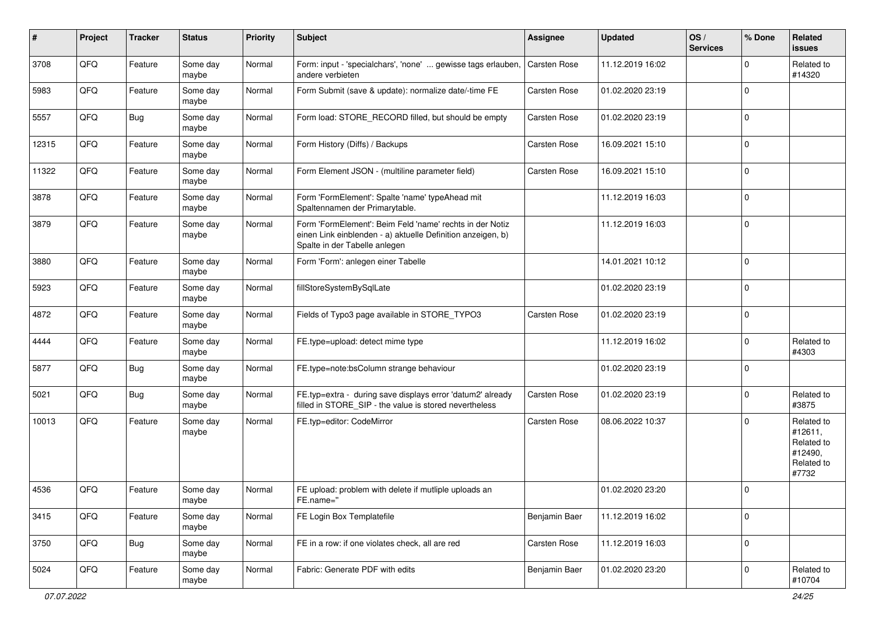| #     | Project | <b>Tracker</b> | <b>Status</b>     | <b>Priority</b> | <b>Subject</b>                                                                                                                                           | <b>Assignee</b>     | <b>Updated</b>   | OS/<br><b>Services</b> | % Done      | <b>Related</b><br><b>issues</b>                                       |
|-------|---------|----------------|-------------------|-----------------|----------------------------------------------------------------------------------------------------------------------------------------------------------|---------------------|------------------|------------------------|-------------|-----------------------------------------------------------------------|
| 3708  | QFQ     | Feature        | Some day<br>maybe | Normal          | Form: input - 'specialchars', 'none'  gewisse tags erlauben,<br>andere verbieten                                                                         | Carsten Rose        | 11.12.2019 16:02 |                        | $\Omega$    | Related to<br>#14320                                                  |
| 5983  | QFQ     | Feature        | Some day<br>maybe | Normal          | Form Submit (save & update): normalize date/-time FE                                                                                                     | <b>Carsten Rose</b> | 01.02.2020 23:19 |                        | $\mathbf 0$ |                                                                       |
| 5557  | QFQ     | <b>Bug</b>     | Some day<br>maybe | Normal          | Form load: STORE_RECORD filled, but should be empty                                                                                                      | <b>Carsten Rose</b> | 01.02.2020 23:19 |                        | $\mathbf 0$ |                                                                       |
| 12315 | QFQ     | Feature        | Some day<br>maybe | Normal          | Form History (Diffs) / Backups                                                                                                                           | Carsten Rose        | 16.09.2021 15:10 |                        | $\mathbf 0$ |                                                                       |
| 11322 | QFQ     | Feature        | Some day<br>maybe | Normal          | Form Element JSON - (multiline parameter field)                                                                                                          | Carsten Rose        | 16.09.2021 15:10 |                        | $\mathbf 0$ |                                                                       |
| 3878  | QFQ     | Feature        | Some day<br>maybe | Normal          | Form 'FormElement': Spalte 'name' typeAhead mit<br>Spaltennamen der Primarytable.                                                                        |                     | 11.12.2019 16:03 |                        | $\mathbf 0$ |                                                                       |
| 3879  | QFQ     | Feature        | Some day<br>maybe | Normal          | Form 'FormElement': Beim Feld 'name' rechts in der Notiz<br>einen Link einblenden - a) aktuelle Definition anzeigen, b)<br>Spalte in der Tabelle anlegen |                     | 11.12.2019 16:03 |                        | $\mathbf 0$ |                                                                       |
| 3880  | QFQ     | Feature        | Some day<br>maybe | Normal          | Form 'Form': anlegen einer Tabelle                                                                                                                       |                     | 14.01.2021 10:12 |                        | $\mathbf 0$ |                                                                       |
| 5923  | QFQ     | Feature        | Some day<br>maybe | Normal          | fillStoreSystemBySqlLate                                                                                                                                 |                     | 01.02.2020 23:19 |                        | $\mathbf 0$ |                                                                       |
| 4872  | QFQ     | Feature        | Some day<br>maybe | Normal          | Fields of Typo3 page available in STORE_TYPO3                                                                                                            | Carsten Rose        | 01.02.2020 23:19 |                        | $\mathbf 0$ |                                                                       |
| 4444  | QFQ     | Feature        | Some day<br>maybe | Normal          | FE.type=upload: detect mime type                                                                                                                         |                     | 11.12.2019 16:02 |                        | $\mathbf 0$ | Related to<br>#4303                                                   |
| 5877  | QFQ     | <b>Bug</b>     | Some day<br>maybe | Normal          | FE.type=note:bsColumn strange behaviour                                                                                                                  |                     | 01.02.2020 23:19 |                        | $\mathbf 0$ |                                                                       |
| 5021  | QFQ     | <b>Bug</b>     | Some day<br>maybe | Normal          | FE.typ=extra - during save displays error 'datum2' already<br>filled in STORE_SIP - the value is stored nevertheless                                     | <b>Carsten Rose</b> | 01.02.2020 23:19 |                        | $\mathbf 0$ | Related to<br>#3875                                                   |
| 10013 | QFQ     | Feature        | Some day<br>maybe | Normal          | FE.typ=editor: CodeMirror                                                                                                                                | Carsten Rose        | 08.06.2022 10:37 |                        | $\mathbf 0$ | Related to<br>#12611,<br>Related to<br>#12490,<br>Related to<br>#7732 |
| 4536  | QFQ     | Feature        | Some day<br>maybe | Normal          | FE upload: problem with delete if mutliple uploads an<br>FE.name="                                                                                       |                     | 01.02.2020 23:20 |                        | $\mathbf 0$ |                                                                       |
| 3415  | QFQ     | Feature        | Some day<br>maybe | Normal          | FE Login Box Templatefile                                                                                                                                | Benjamin Baer       | 11.12.2019 16:02 |                        | $\mathbf 0$ |                                                                       |
| 3750  | QFG     | <b>Bug</b>     | Some day<br>maybe | Normal          | FE in a row: if one violates check, all are red                                                                                                          | Carsten Rose        | 11.12.2019 16:03 |                        | $\mathbf 0$ |                                                                       |
| 5024  | QFG     | Feature        | Some day<br>maybe | Normal          | Fabric: Generate PDF with edits                                                                                                                          | Benjamin Baer       | 01.02.2020 23:20 |                        | $\mathbf 0$ | Related to<br>#10704                                                  |